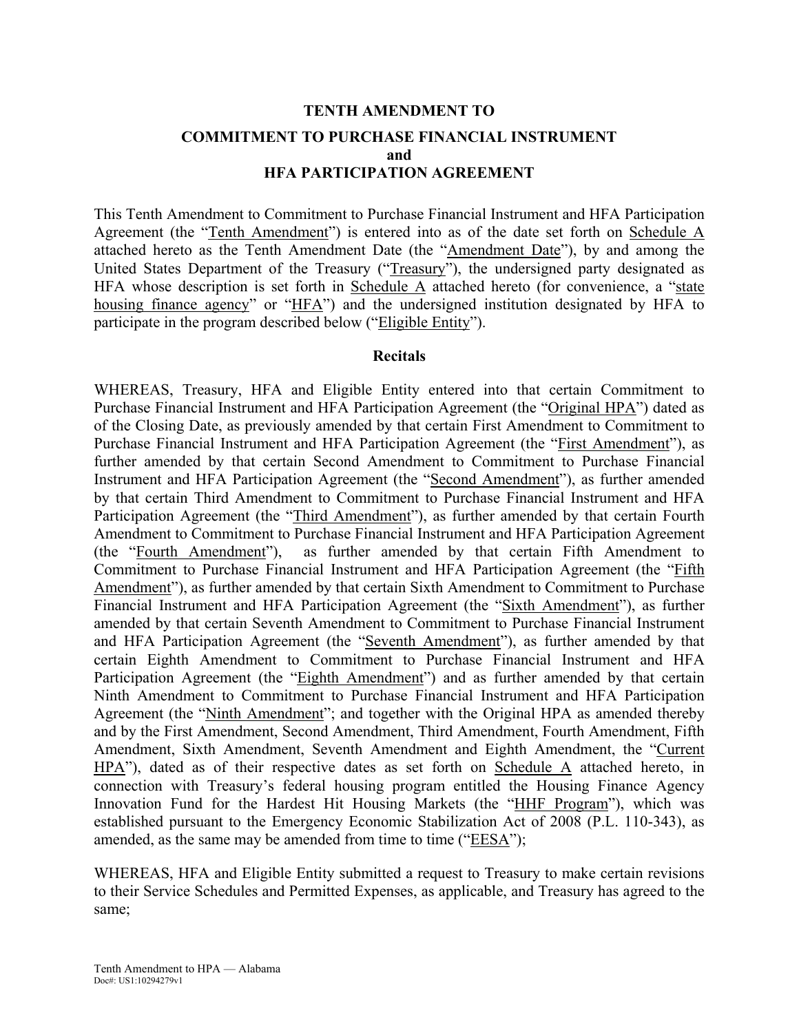# **TENTH AMENDMENT TO COMMITMENT TO PURCHASE FINANCIAL INSTRUMENT and HFA PARTICIPATION AGREEMENT**

This Tenth Amendment to Commitment to Purchase Financial Instrument and HFA Participation Agreement (the "Tenth Amendment") is entered into as of the date set forth on Schedule A attached hereto as the Tenth Amendment Date (the "Amendment Date"), by and among the United States Department of the Treasury ("Treasury"), the undersigned party designated as HFA whose description is set forth in Schedule A attached hereto (for convenience, a "state housing finance agency" or "HFA") and the undersigned institution designated by HFA to participate in the program described below ("Eligible Entity").

#### **Recitals**

WHEREAS, Treasury, HFA and Eligible Entity entered into that certain Commitment to Purchase Financial Instrument and HFA Participation Agreement (the "Original HPA") dated as of the Closing Date, as previously amended by that certain First Amendment to Commitment to Purchase Financial Instrument and HFA Participation Agreement (the "First Amendment"), as further amended by that certain Second Amendment to Commitment to Purchase Financial Instrument and HFA Participation Agreement (the "Second Amendment"), as further amended by that certain Third Amendment to Commitment to Purchase Financial Instrument and HFA Participation Agreement (the "Third Amendment"), as further amended by that certain Fourth Amendment to Commitment to Purchase Financial Instrument and HFA Participation Agreement (the "Fourth Amendment"), as further amended by that certain Fifth Amendment to Commitment to Purchase Financial Instrument and HFA Participation Agreement (the "Fifth Amendment"), as further amended by that certain Sixth Amendment to Commitment to Purchase Financial Instrument and HFA Participation Agreement (the "Sixth Amendment"), as further amended by that certain Seventh Amendment to Commitment to Purchase Financial Instrument and HFA Participation Agreement (the "Seventh Amendment"), as further amended by that certain Eighth Amendment to Commitment to Purchase Financial Instrument and HFA Participation Agreement (the "Eighth Amendment") and as further amended by that certain Ninth Amendment to Commitment to Purchase Financial Instrument and HFA Participation Agreement (the "Ninth Amendment"; and together with the Original HPA as amended thereby and by the First Amendment, Second Amendment, Third Amendment, Fourth Amendment, Fifth Amendment, Sixth Amendment, Seventh Amendment and Eighth Amendment, the "Current HPA"), dated as of their respective dates as set forth on Schedule A attached hereto, in connection with Treasury's federal housing program entitled the Housing Finance Agency Innovation Fund for the Hardest Hit Housing Markets (the "HHF Program"), which was established pursuant to the Emergency Economic Stabilization Act of 2008 (P.L. 110-343), as amended, as the same may be amended from time to time ("EESA");

WHEREAS, HFA and Eligible Entity submitted a request to Treasury to make certain revisions to their Service Schedules and Permitted Expenses, as applicable, and Treasury has agreed to the same;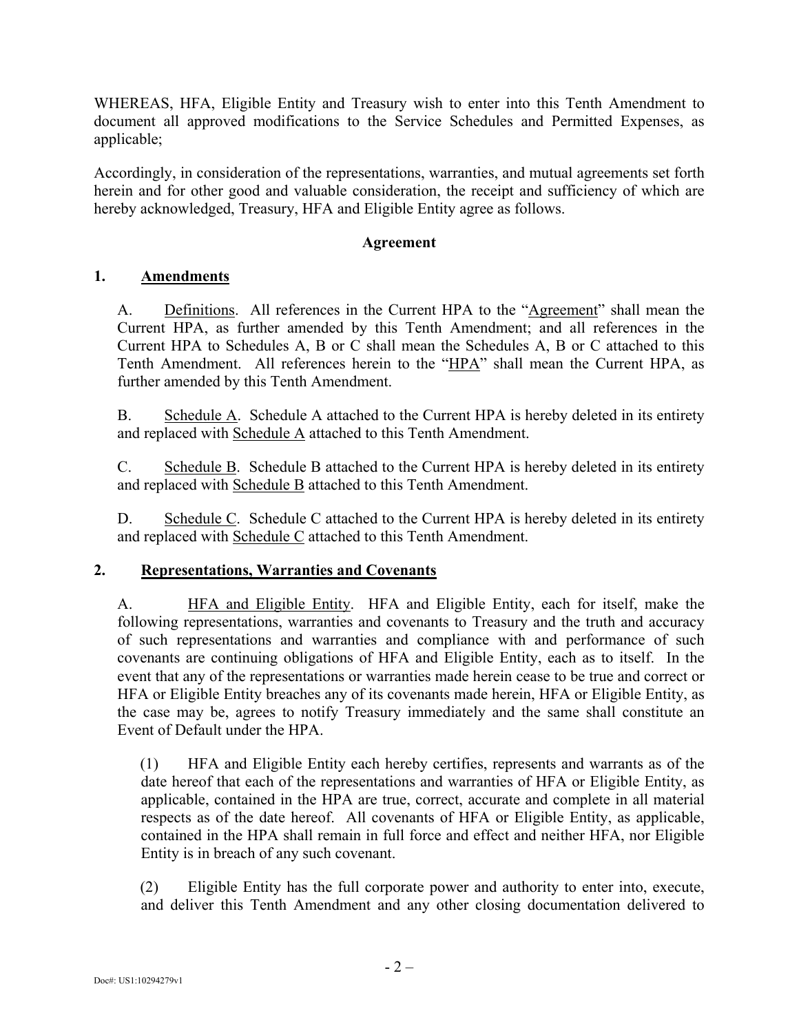WHEREAS, HFA, Eligible Entity and Treasury wish to enter into this Tenth Amendment to document all approved modifications to the Service Schedules and Permitted Expenses, as applicable;

Accordingly, in consideration of the representations, warranties, and mutual agreements set forth herein and for other good and valuable consideration, the receipt and sufficiency of which are hereby acknowledged, Treasury, HFA and Eligible Entity agree as follows.

## **Agreement**

## **1. Amendments**

A. Definitions. All references in the Current HPA to the "Agreement" shall mean the Current HPA, as further amended by this Tenth Amendment; and all references in the Current HPA to Schedules A, B or C shall mean the Schedules A, B or C attached to this Tenth Amendment. All references herein to the "HPA" shall mean the Current HPA, as further amended by this Tenth Amendment.

B. Schedule A. Schedule A attached to the Current HPA is hereby deleted in its entirety and replaced with Schedule A attached to this Tenth Amendment.

C. Schedule B. Schedule B attached to the Current HPA is hereby deleted in its entirety and replaced with Schedule B attached to this Tenth Amendment.

D. Schedule C. Schedule C attached to the Current HPA is hereby deleted in its entirety and replaced with Schedule C attached to this Tenth Amendment.

## **2. Representations, Warranties and Covenants**

A. HFA and Eligible Entity. HFA and Eligible Entity, each for itself, make the following representations, warranties and covenants to Treasury and the truth and accuracy of such representations and warranties and compliance with and performance of such covenants are continuing obligations of HFA and Eligible Entity, each as to itself. In the event that any of the representations or warranties made herein cease to be true and correct or HFA or Eligible Entity breaches any of its covenants made herein, HFA or Eligible Entity, as the case may be, agrees to notify Treasury immediately and the same shall constitute an Event of Default under the HPA.

(1) HFA and Eligible Entity each hereby certifies, represents and warrants as of the date hereof that each of the representations and warranties of HFA or Eligible Entity, as applicable, contained in the HPA are true, correct, accurate and complete in all material respects as of the date hereof. All covenants of HFA or Eligible Entity, as applicable, contained in the HPA shall remain in full force and effect and neither HFA, nor Eligible Entity is in breach of any such covenant.

(2) Eligible Entity has the full corporate power and authority to enter into, execute, and deliver this Tenth Amendment and any other closing documentation delivered to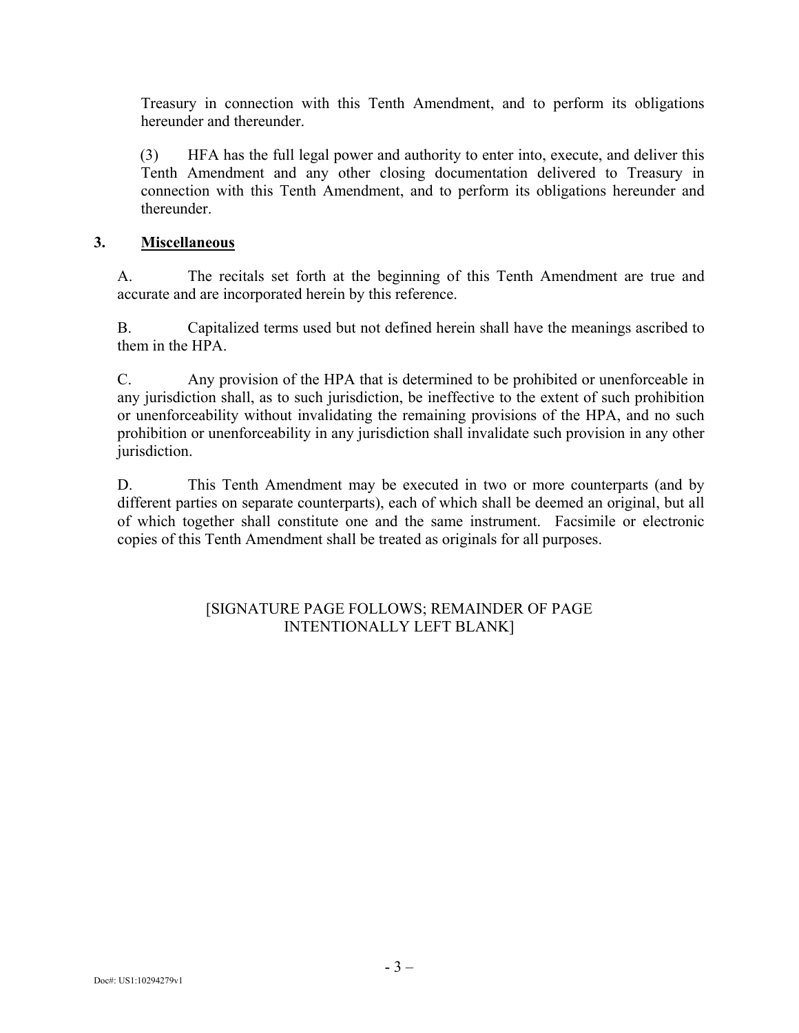Treasury in connection with this Tenth Amendment, and to perform its obligations hereunder and thereunder.

(3) HFA has the full legal power and authority to enter into, execute, and deliver this Tenth Amendment and any other closing documentation delivered to Treasury in connection with this Tenth Amendment, and to perform its obligations hereunder and thereunder.

#### **3. Miscellaneous**

A. The recitals set forth at the beginning of this Tenth Amendment are true and accurate and are incorporated herein by this reference.

B. Capitalized terms used but not defined herein shall have the meanings ascribed to them in the HPA.

C. Any provision of the HPA that is determined to be prohibited or unenforceable in any jurisdiction shall, as to such jurisdiction, be ineffective to the extent of such prohibition or unenforceability without invalidating the remaining provisions of the HPA, and no such prohibition or unenforceability in any jurisdiction shall invalidate such provision in any other jurisdiction.

D. This Tenth Amendment may be executed in two or more counterparts (and by different parties on separate counterparts), each of which shall be deemed an original, but all of which together shall constitute one and the same instrument. Facsimile or electronic copies of this Tenth Amendment shall be treated as originals for all purposes.

#### [SIGNATURE PAGE FOLLOWS; REMAINDER OF PAGE INTENTIONALLY LEFT BLANK]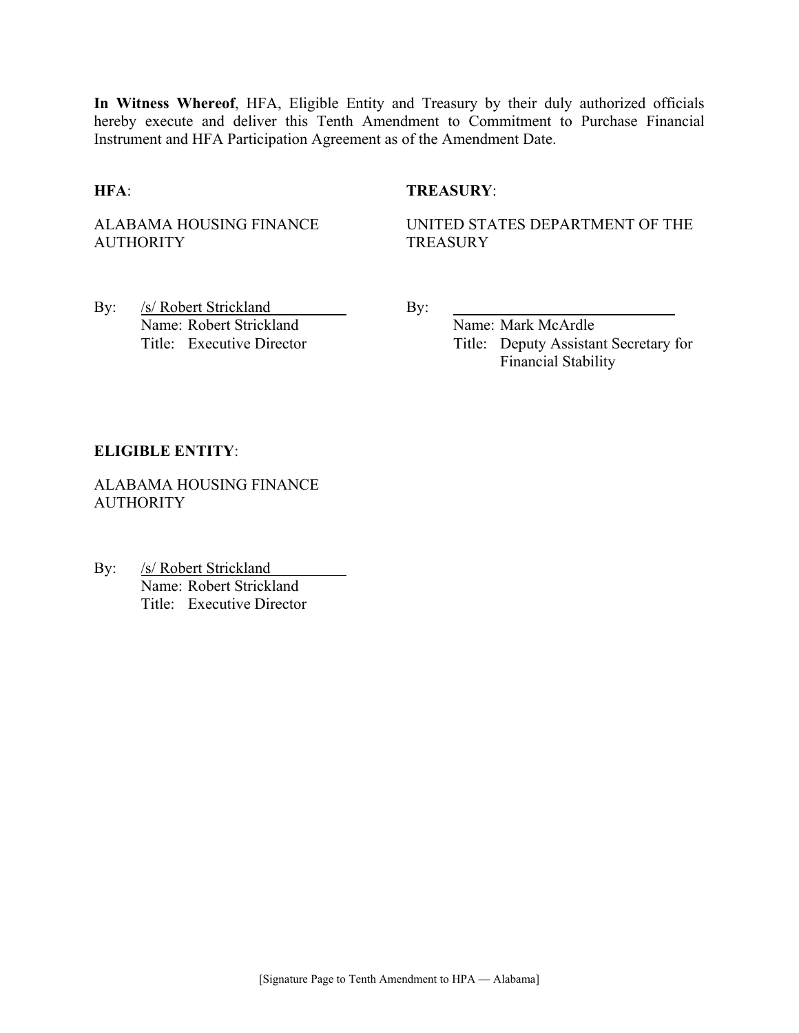**In Witness Whereof**, HFA, Eligible Entity and Treasury by their duly authorized officials hereby execute and deliver this Tenth Amendment to Commitment to Purchase Financial Instrument and HFA Participation Agreement as of the Amendment Date.

#### **HFA**: **TREASURY**:

ALABAMA HOUSING FINANCE **AUTHORITY** 

UNITED STATES DEPARTMENT OF THE **TREASURY** 

By: /s/ Robert Strickland By: Name: Robert Strickland Name: Mark McArdle

Title: Executive Director Title: Deputy Assistant Secretary for Financial Stability

#### **ELIGIBLE ENTITY**:

ALABAMA HOUSING FINANCE **AUTHORITY** 

By: /s/ Robert Strickland Name: Robert Strickland Title: Executive Director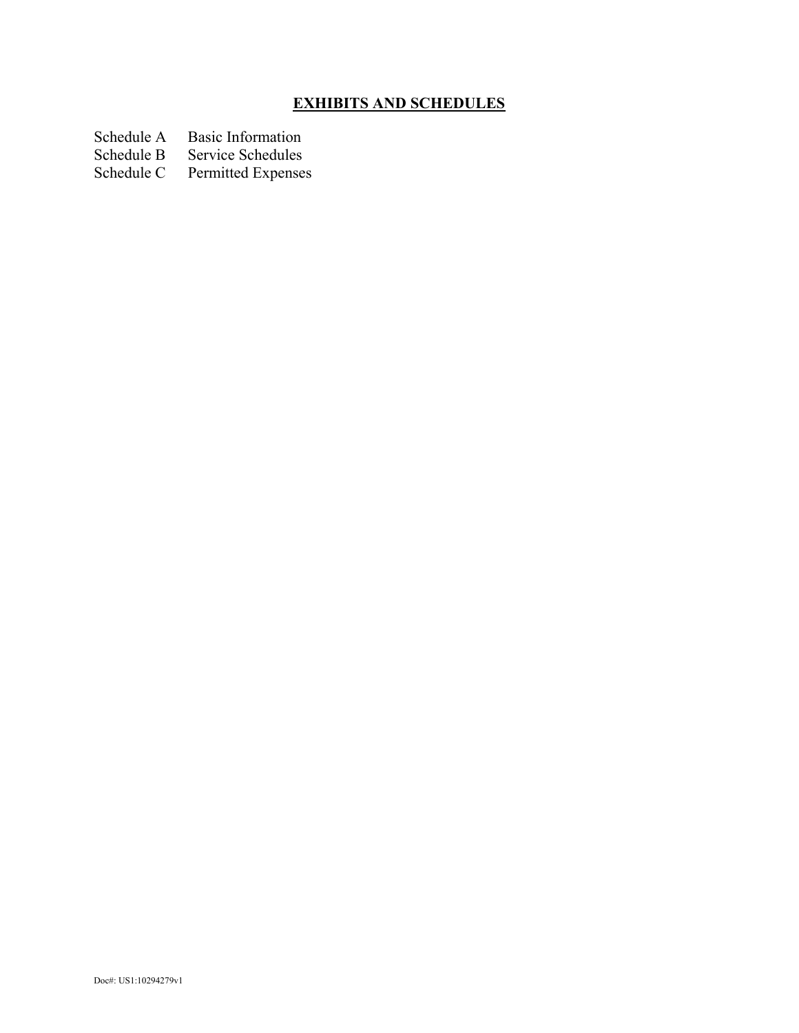# **EXHIBITS AND SCHEDULES**

- Schedule A Basic Information<br>Schedule B Service Schedules
- Schedule B Service Schedules<br>Schedule C Permitted Expenses
- Permitted Expenses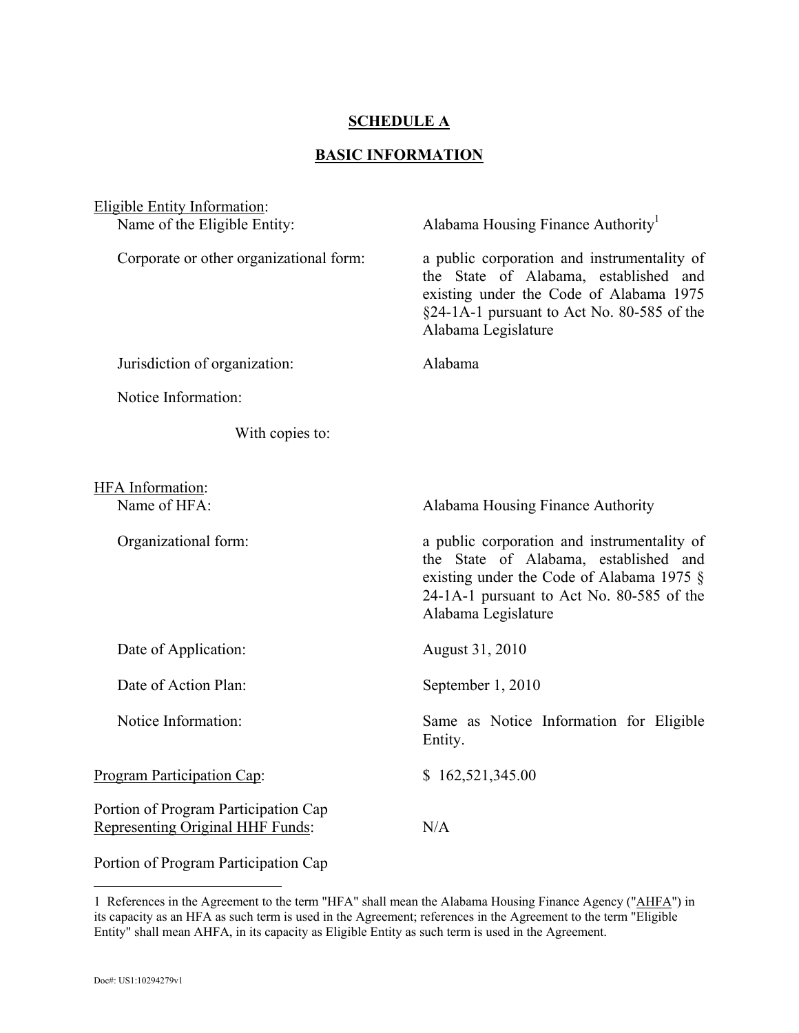#### **SCHEDULE A**

## **BASIC INFORMATION**

| Eligible Entity Information:                                             |                                                                                                                                                                                                          |  |
|--------------------------------------------------------------------------|----------------------------------------------------------------------------------------------------------------------------------------------------------------------------------------------------------|--|
| Name of the Eligible Entity:                                             | Alabama Housing Finance Authority <sup>1</sup>                                                                                                                                                           |  |
| Corporate or other organizational form:                                  | a public corporation and instrumentality of<br>the State of Alabama, established and<br>existing under the Code of Alabama 1975<br>$\S$ 24-1A-1 pursuant to Act No. 80-585 of the<br>Alabama Legislature |  |
| Jurisdiction of organization:                                            | Alabama                                                                                                                                                                                                  |  |
| Notice Information:                                                      |                                                                                                                                                                                                          |  |
| With copies to:                                                          |                                                                                                                                                                                                          |  |
| <b>HFA</b> Information:<br>Name of HFA:                                  | Alabama Housing Finance Authority                                                                                                                                                                        |  |
| Organizational form:                                                     | a public corporation and instrumentality of<br>the State of Alabama, established and<br>existing under the Code of Alabama 1975 §<br>24-1A-1 pursuant to Act No. 80-585 of the<br>Alabama Legislature    |  |
| Date of Application:                                                     | August 31, 2010                                                                                                                                                                                          |  |
| Date of Action Plan:                                                     | September 1, 2010                                                                                                                                                                                        |  |
| Notice Information:                                                      | Same as Notice Information for Eligible<br>Entity.                                                                                                                                                       |  |
| <b>Program Participation Cap:</b>                                        | \$162,521,345.00                                                                                                                                                                                         |  |
| Portion of Program Participation Cap<br>Representing Original HHF Funds: | N/A                                                                                                                                                                                                      |  |
| Portion of Program Participation Cap                                     |                                                                                                                                                                                                          |  |

 $\overline{a}$ 1 References in the Agreement to the term "HFA" shall mean the Alabama Housing Finance Agency ("AHFA") in its capacity as an HFA as such term is used in the Agreement; references in the Agreement to the term "Eligible Entity" shall mean AHFA, in its capacity as Eligible Entity as such term is used in the Agreement.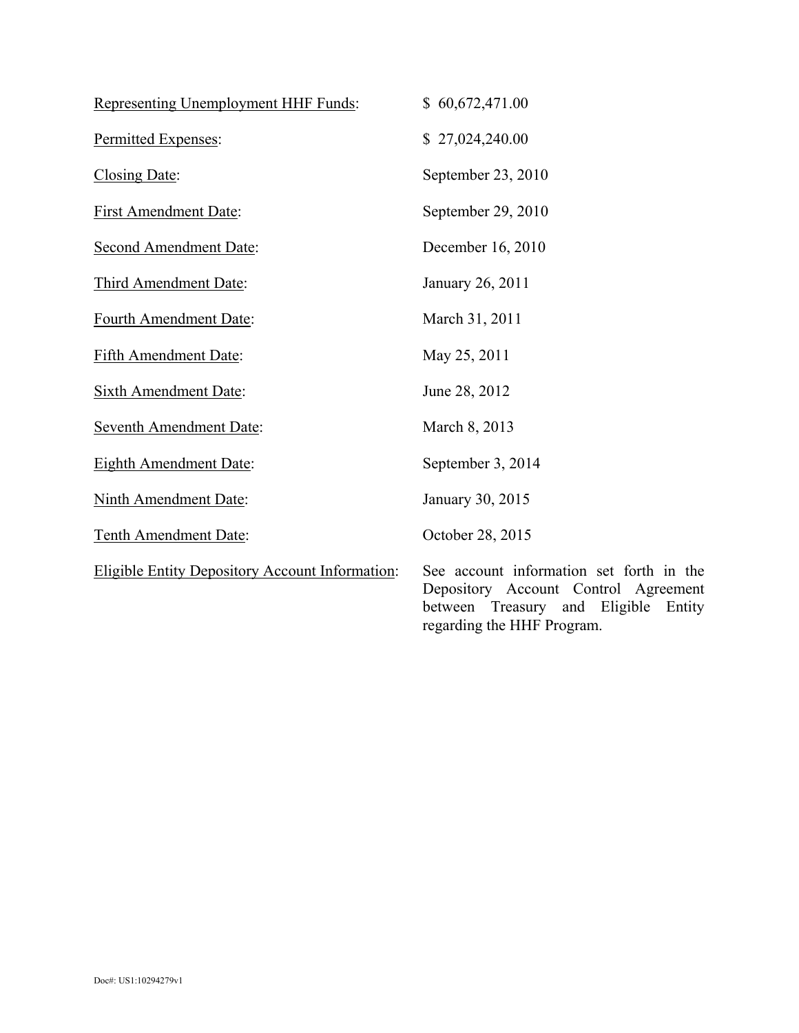| Representing Unemployment HHF Funds:                   | \$60,672,471.00                                                                                                                      |
|--------------------------------------------------------|--------------------------------------------------------------------------------------------------------------------------------------|
| Permitted Expenses:                                    | \$27,024,240.00                                                                                                                      |
| Closing Date:                                          | September 23, 2010                                                                                                                   |
| <b>First Amendment Date:</b>                           | September 29, 2010                                                                                                                   |
| <b>Second Amendment Date:</b>                          | December 16, 2010                                                                                                                    |
| Third Amendment Date:                                  | January 26, 2011                                                                                                                     |
| Fourth Amendment Date:                                 | March 31, 2011                                                                                                                       |
| <b>Fifth Amendment Date:</b>                           | May 25, 2011                                                                                                                         |
| <b>Sixth Amendment Date:</b>                           | June 28, 2012                                                                                                                        |
| <b>Seventh Amendment Date:</b>                         | March 8, 2013                                                                                                                        |
| <b>Eighth Amendment Date:</b>                          | September 3, 2014                                                                                                                    |
| <b>Ninth Amendment Date:</b>                           | January 30, 2015                                                                                                                     |
| Tenth Amendment Date:                                  | October 28, 2015                                                                                                                     |
| <b>Eligible Entity Depository Account Information:</b> | See account information set forth in the<br>Depository Account Control Agreement<br>Eligible<br>between<br>Treasury<br>and<br>Entity |

regarding the HHF Program.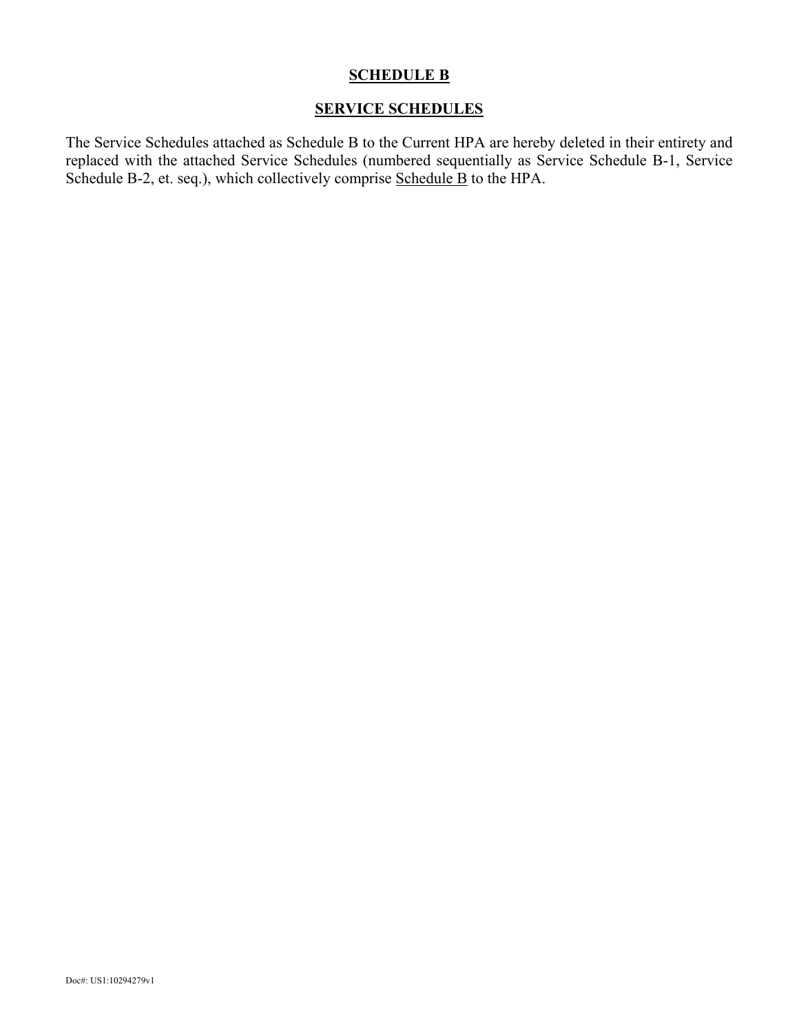## **SCHEDULE B**

## **SERVICE SCHEDULES**

The Service Schedules attached as Schedule B to the Current HPA are hereby deleted in their entirety and replaced with the attached Service Schedules (numbered sequentially as Service Schedule B-1, Service Schedule B-2, et. seq.), which collectively comprise Schedule B to the HPA.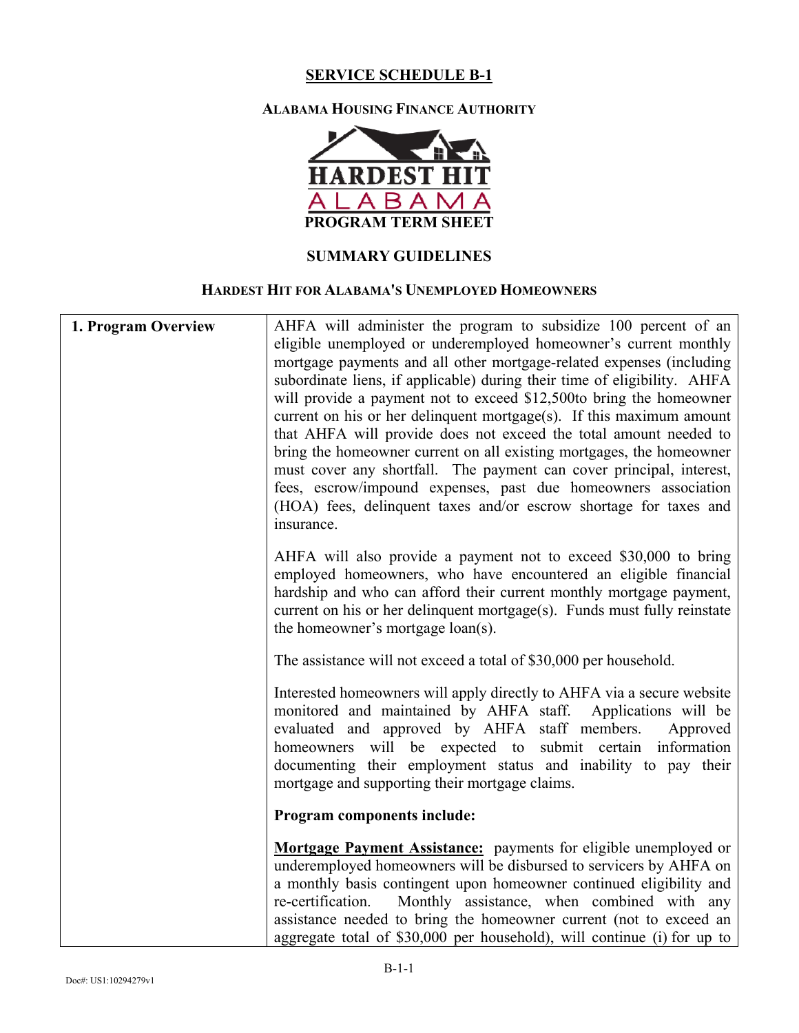#### **ALABAMA HOUSING FINANCE AUTHORITY**



## **SUMMARY GUIDELINES**

## **HARDEST HIT FOR ALABAMA'S UNEMPLOYED HOMEOWNERS**

| AHFA will administer the program to subsidize 100 percent of an<br>eligible unemployed or underemployed homeowner's current monthly<br>mortgage payments and all other mortgage-related expenses (including<br>subordinate liens, if applicable) during their time of eligibility. AHFA<br>will provide a payment not to exceed \$12,500to bring the homeowner<br>current on his or her delinquent mortgage $(s)$ . If this maximum amount<br>that AHFA will provide does not exceed the total amount needed to<br>bring the homeowner current on all existing mortgages, the homeowner<br>must cover any shortfall. The payment can cover principal, interest,<br>fees, escrow/impound expenses, past due homeowners association<br>(HOA) fees, delinquent taxes and/or escrow shortage for taxes and<br>insurance. |
|----------------------------------------------------------------------------------------------------------------------------------------------------------------------------------------------------------------------------------------------------------------------------------------------------------------------------------------------------------------------------------------------------------------------------------------------------------------------------------------------------------------------------------------------------------------------------------------------------------------------------------------------------------------------------------------------------------------------------------------------------------------------------------------------------------------------|
| AHFA will also provide a payment not to exceed \$30,000 to bring<br>employed homeowners, who have encountered an eligible financial<br>hardship and who can afford their current monthly mortgage payment,<br>current on his or her delinquent mortgage(s). Funds must fully reinstate<br>the homeowner's mortgage loan(s).                                                                                                                                                                                                                                                                                                                                                                                                                                                                                          |
| The assistance will not exceed a total of \$30,000 per household.                                                                                                                                                                                                                                                                                                                                                                                                                                                                                                                                                                                                                                                                                                                                                    |
| Interested homeowners will apply directly to AHFA via a secure website<br>monitored and maintained by AHFA staff. Applications will be<br>evaluated and approved by AHFA staff members.<br>Approved<br>homeowners will be expected to submit certain information<br>documenting their employment status and inability to pay their<br>mortgage and supporting their mortgage claims.                                                                                                                                                                                                                                                                                                                                                                                                                                 |
| Program components include:                                                                                                                                                                                                                                                                                                                                                                                                                                                                                                                                                                                                                                                                                                                                                                                          |
| <b>Mortgage Payment Assistance:</b> payments for eligible unemployed or<br>underemployed homeowners will be disbursed to servicers by AHFA on<br>a monthly basis contingent upon homeowner continued eligibility and<br>Monthly assistance, when combined with any<br>re-certification.<br>assistance needed to bring the homeowner current (not to exceed an<br>aggregate total of \$30,000 per household), will continue (i) for up to                                                                                                                                                                                                                                                                                                                                                                             |
|                                                                                                                                                                                                                                                                                                                                                                                                                                                                                                                                                                                                                                                                                                                                                                                                                      |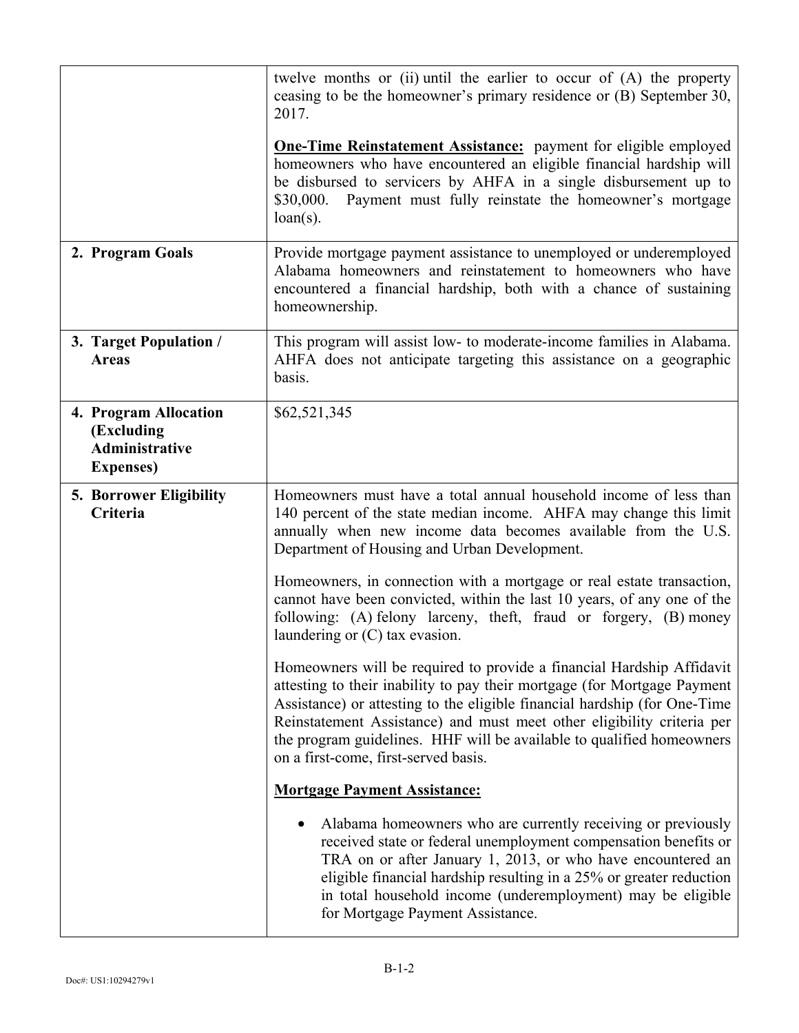|                                                                                   | twelve months or (ii) until the earlier to occur of (A) the property<br>ceasing to be the homeowner's primary residence or (B) September 30,<br>2017.<br><b>One-Time Reinstatement Assistance:</b> payment for eligible employed<br>homeowners who have encountered an eligible financial hardship will<br>be disbursed to servicers by AHFA in a single disbursement up to<br>Payment must fully reinstate the homeowner's mortgage<br>\$30,000.<br>$loan(s)$ . |
|-----------------------------------------------------------------------------------|------------------------------------------------------------------------------------------------------------------------------------------------------------------------------------------------------------------------------------------------------------------------------------------------------------------------------------------------------------------------------------------------------------------------------------------------------------------|
| 2. Program Goals                                                                  | Provide mortgage payment assistance to unemployed or underemployed<br>Alabama homeowners and reinstatement to homeowners who have<br>encountered a financial hardship, both with a chance of sustaining<br>homeownership.                                                                                                                                                                                                                                        |
| 3. Target Population /<br><b>Areas</b>                                            | This program will assist low- to moderate-income families in Alabama.<br>AHFA does not anticipate targeting this assistance on a geographic<br>basis.                                                                                                                                                                                                                                                                                                            |
| 4. Program Allocation<br>(Excluding<br><b>Administrative</b><br><b>Expenses</b> ) | \$62,521,345                                                                                                                                                                                                                                                                                                                                                                                                                                                     |
| <b>5. Borrower Eligibility</b><br>Criteria                                        | Homeowners must have a total annual household income of less than<br>140 percent of the state median income. AHFA may change this limit<br>annually when new income data becomes available from the U.S.<br>Department of Housing and Urban Development.                                                                                                                                                                                                         |
|                                                                                   | Homeowners, in connection with a mortgage or real estate transaction,<br>cannot have been convicted, within the last 10 years, of any one of the<br>following: (A) felony larceny, theft, fraud or forgery, (B) money<br>laundering or $(C)$ tax evasion.                                                                                                                                                                                                        |
|                                                                                   | Homeowners will be required to provide a financial Hardship Affidavit<br>attesting to their inability to pay their mortgage (for Mortgage Payment<br>Assistance) or attesting to the eligible financial hardship (for One-Time<br>Reinstatement Assistance) and must meet other eligibility criteria per<br>the program guidelines. HHF will be available to qualified homeowners<br>on a first-come, first-served basis.                                        |
|                                                                                   | <b>Mortgage Payment Assistance:</b>                                                                                                                                                                                                                                                                                                                                                                                                                              |
|                                                                                   | Alabama homeowners who are currently receiving or previously<br>received state or federal unemployment compensation benefits or<br>TRA on or after January 1, 2013, or who have encountered an<br>eligible financial hardship resulting in a 25% or greater reduction<br>in total household income (underemployment) may be eligible<br>for Mortgage Payment Assistance.                                                                                         |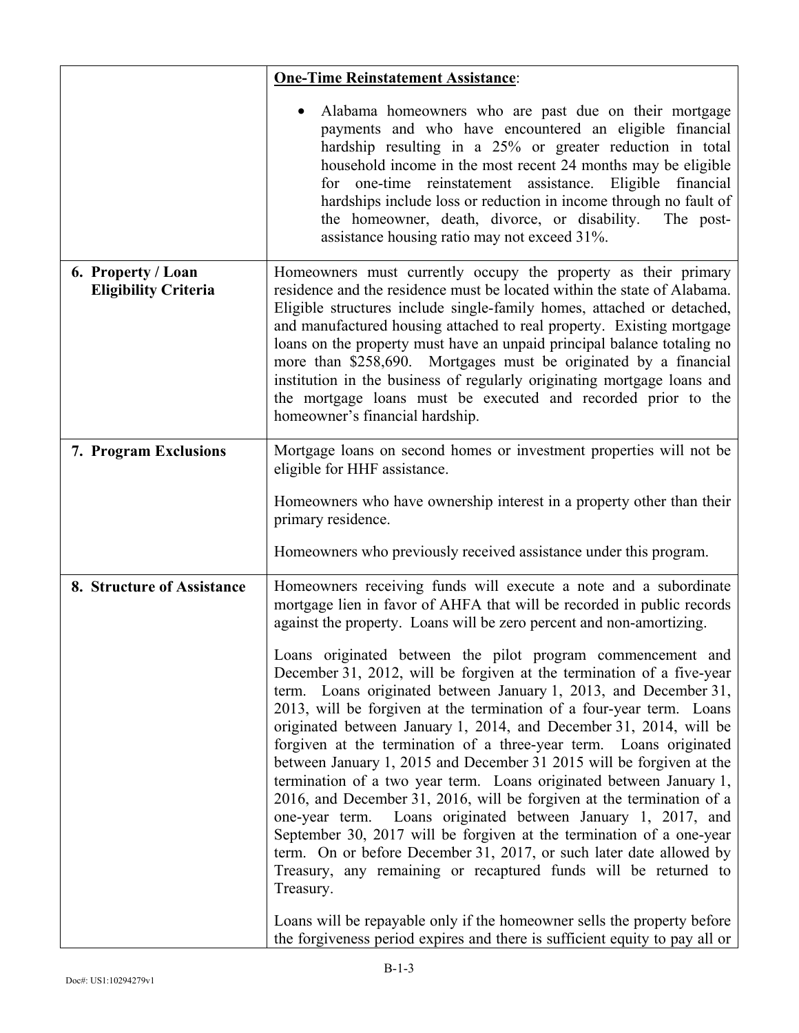|                                                   | <b>One-Time Reinstatement Assistance:</b>                                                                                                                                                                                                                                                                                                                                                                                                                                                                                                                                                                                                                                                                                                                                                                                                                                                                                                                                                                                                                                                                                                                                                                                                                                                                                           |
|---------------------------------------------------|-------------------------------------------------------------------------------------------------------------------------------------------------------------------------------------------------------------------------------------------------------------------------------------------------------------------------------------------------------------------------------------------------------------------------------------------------------------------------------------------------------------------------------------------------------------------------------------------------------------------------------------------------------------------------------------------------------------------------------------------------------------------------------------------------------------------------------------------------------------------------------------------------------------------------------------------------------------------------------------------------------------------------------------------------------------------------------------------------------------------------------------------------------------------------------------------------------------------------------------------------------------------------------------------------------------------------------------|
|                                                   | Alabama homeowners who are past due on their mortgage<br>payments and who have encountered an eligible financial<br>hardship resulting in a 25% or greater reduction in total<br>household income in the most recent 24 months may be eligible<br>for one-time reinstatement assistance. Eligible financial<br>hardships include loss or reduction in income through no fault of<br>the homeowner, death, divorce, or disability.<br>The post-<br>assistance housing ratio may not exceed 31%.                                                                                                                                                                                                                                                                                                                                                                                                                                                                                                                                                                                                                                                                                                                                                                                                                                      |
| 6. Property / Loan<br><b>Eligibility Criteria</b> | Homeowners must currently occupy the property as their primary<br>residence and the residence must be located within the state of Alabama.<br>Eligible structures include single-family homes, attached or detached,<br>and manufactured housing attached to real property. Existing mortgage<br>loans on the property must have an unpaid principal balance totaling no<br>more than \$258,690. Mortgages must be originated by a financial<br>institution in the business of regularly originating mortgage loans and<br>the mortgage loans must be executed and recorded prior to the<br>homeowner's financial hardship.                                                                                                                                                                                                                                                                                                                                                                                                                                                                                                                                                                                                                                                                                                         |
| 7. Program Exclusions                             | Mortgage loans on second homes or investment properties will not be<br>eligible for HHF assistance.                                                                                                                                                                                                                                                                                                                                                                                                                                                                                                                                                                                                                                                                                                                                                                                                                                                                                                                                                                                                                                                                                                                                                                                                                                 |
|                                                   | Homeowners who have ownership interest in a property other than their<br>primary residence.                                                                                                                                                                                                                                                                                                                                                                                                                                                                                                                                                                                                                                                                                                                                                                                                                                                                                                                                                                                                                                                                                                                                                                                                                                         |
|                                                   | Homeowners who previously received assistance under this program.                                                                                                                                                                                                                                                                                                                                                                                                                                                                                                                                                                                                                                                                                                                                                                                                                                                                                                                                                                                                                                                                                                                                                                                                                                                                   |
| 8. Structure of Assistance                        | Homeowners receiving funds will execute a note and a subordinate<br>mortgage lien in favor of AHFA that will be recorded in public records<br>against the property. Loans will be zero percent and non-amortizing.<br>Loans originated between the pilot program commencement and<br>December 31, 2012, will be forgiven at the termination of a five-year<br>term. Loans originated between January 1, 2013, and December 31,<br>2013, will be forgiven at the termination of a four-year term. Loans<br>originated between January 1, 2014, and December 31, 2014, will be<br>forgiven at the termination of a three-year term. Loans originated<br>between January 1, 2015 and December 31 2015 will be forgiven at the<br>termination of a two year term. Loans originated between January 1,<br>2016, and December 31, 2016, will be forgiven at the termination of a<br>one-year term. Loans originated between January 1, 2017, and<br>September 30, 2017 will be forgiven at the termination of a one-year<br>term. On or before December 31, 2017, or such later date allowed by<br>Treasury, any remaining or recaptured funds will be returned to<br>Treasury.<br>Loans will be repayable only if the homeowner sells the property before<br>the forgiveness period expires and there is sufficient equity to pay all or |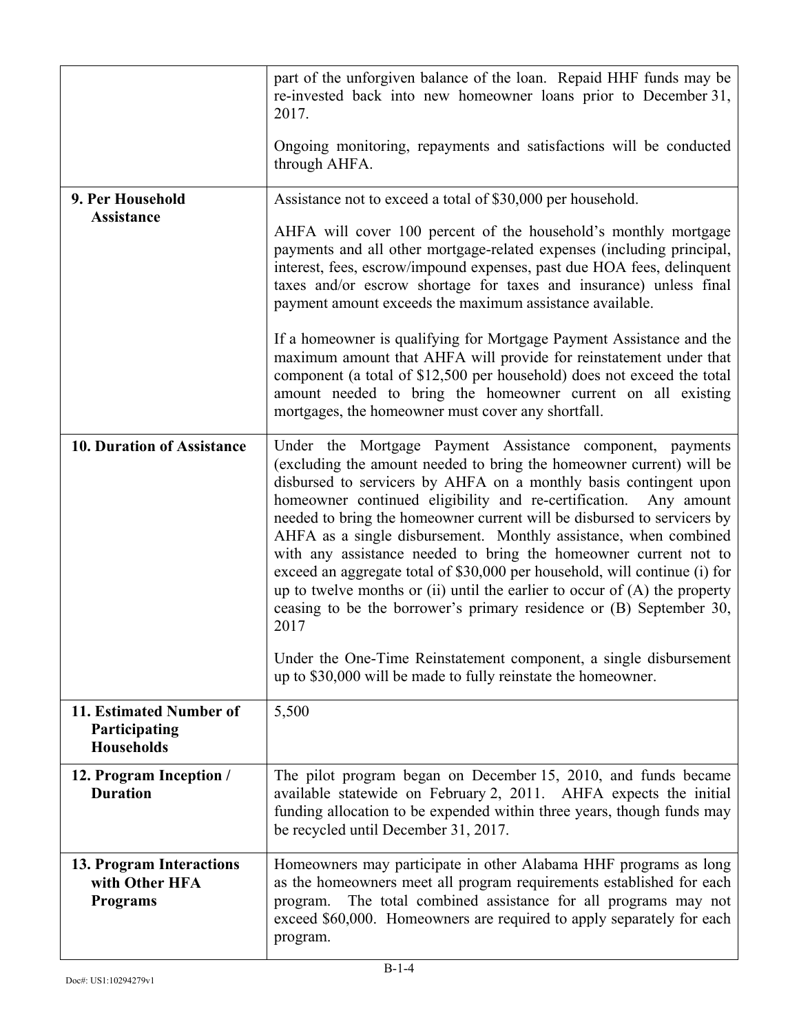|                                                               | part of the unforgiven balance of the loan. Repaid HHF funds may be<br>re-invested back into new homeowner loans prior to December 31,<br>2017.<br>Ongoing monitoring, repayments and satisfactions will be conducted<br>through AHFA.                                                                                                                                                                                                                                                                                                                                                                                                                                                                                                                                                                                                                                              |
|---------------------------------------------------------------|-------------------------------------------------------------------------------------------------------------------------------------------------------------------------------------------------------------------------------------------------------------------------------------------------------------------------------------------------------------------------------------------------------------------------------------------------------------------------------------------------------------------------------------------------------------------------------------------------------------------------------------------------------------------------------------------------------------------------------------------------------------------------------------------------------------------------------------------------------------------------------------|
| 9. Per Household<br>Assistance                                | Assistance not to exceed a total of \$30,000 per household.<br>AHFA will cover 100 percent of the household's monthly mortgage<br>payments and all other mortgage-related expenses (including principal,<br>interest, fees, escrow/impound expenses, past due HOA fees, delinquent<br>taxes and/or escrow shortage for taxes and insurance) unless final<br>payment amount exceeds the maximum assistance available.<br>If a homeowner is qualifying for Mortgage Payment Assistance and the<br>maximum amount that AHFA will provide for reinstatement under that<br>component (a total of \$12,500 per household) does not exceed the total<br>amount needed to bring the homeowner current on all existing<br>mortgages, the homeowner must cover any shortfall.                                                                                                                 |
| 10. Duration of Assistance                                    | Under the Mortgage Payment Assistance component, payments<br>(excluding the amount needed to bring the homeowner current) will be<br>disbursed to servicers by AHFA on a monthly basis contingent upon<br>homeowner continued eligibility and re-certification.<br>Any amount<br>needed to bring the homeowner current will be disbursed to servicers by<br>AHFA as a single disbursement. Monthly assistance, when combined<br>with any assistance needed to bring the homeowner current not to<br>exceed an aggregate total of \$30,000 per household, will continue (i) for<br>up to twelve months or (ii) until the earlier to occur of $(A)$ the property<br>ceasing to be the borrower's primary residence or (B) September 30,<br>2017<br>Under the One-Time Reinstatement component, a single disbursement<br>up to \$30,000 will be made to fully reinstate the homeowner. |
| 11. Estimated Number of<br>Participating<br><b>Households</b> | 5,500                                                                                                                                                                                                                                                                                                                                                                                                                                                                                                                                                                                                                                                                                                                                                                                                                                                                               |
| 12. Program Inception /<br><b>Duration</b>                    | The pilot program began on December 15, 2010, and funds became<br>available statewide on February 2, 2011. AHFA expects the initial<br>funding allocation to be expended within three years, though funds may<br>be recycled until December 31, 2017.                                                                                                                                                                                                                                                                                                                                                                                                                                                                                                                                                                                                                               |
| 13. Program Interactions<br>with Other HFA<br><b>Programs</b> | Homeowners may participate in other Alabama HHF programs as long<br>as the homeowners meet all program requirements established for each<br>The total combined assistance for all programs may not<br>program.<br>exceed \$60,000. Homeowners are required to apply separately for each<br>program.                                                                                                                                                                                                                                                                                                                                                                                                                                                                                                                                                                                 |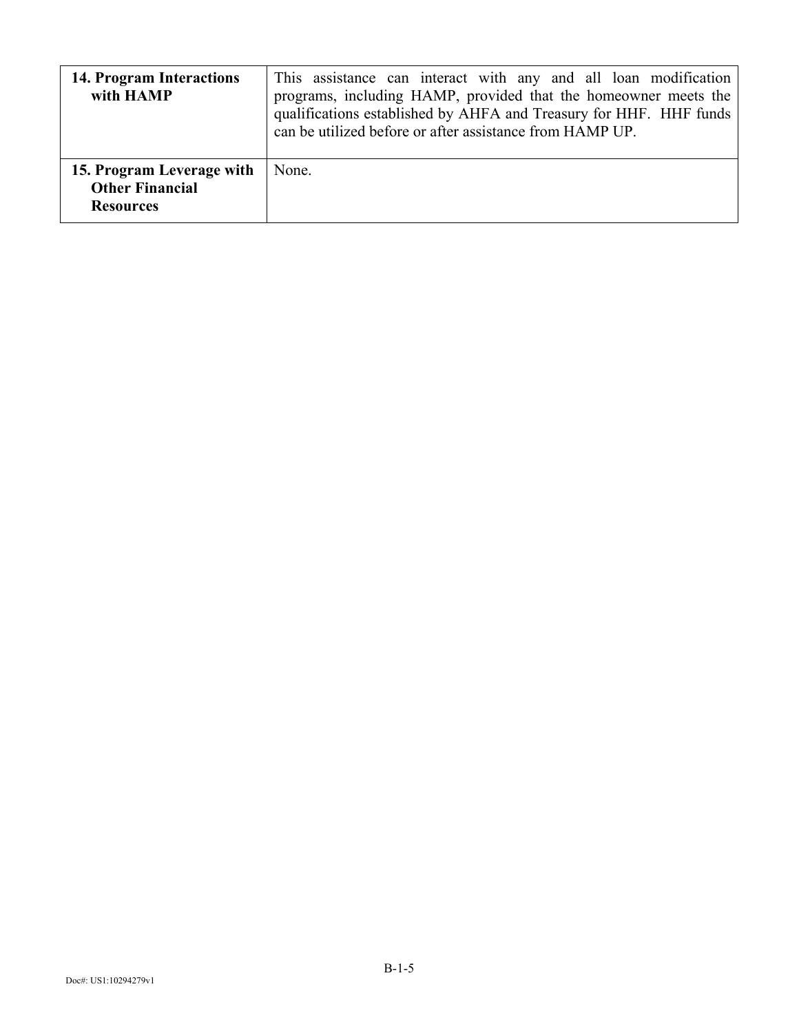| 14. Program Interactions<br>with HAMP                                   | This assistance can interact with any and all loan modification<br>programs, including HAMP, provided that the homeowner meets the<br>qualifications established by AHFA and Treasury for HHF. HHF funds<br>can be utilized before or after assistance from HAMP UP. |
|-------------------------------------------------------------------------|----------------------------------------------------------------------------------------------------------------------------------------------------------------------------------------------------------------------------------------------------------------------|
| 15. Program Leverage with<br><b>Other Financial</b><br><b>Resources</b> | None.                                                                                                                                                                                                                                                                |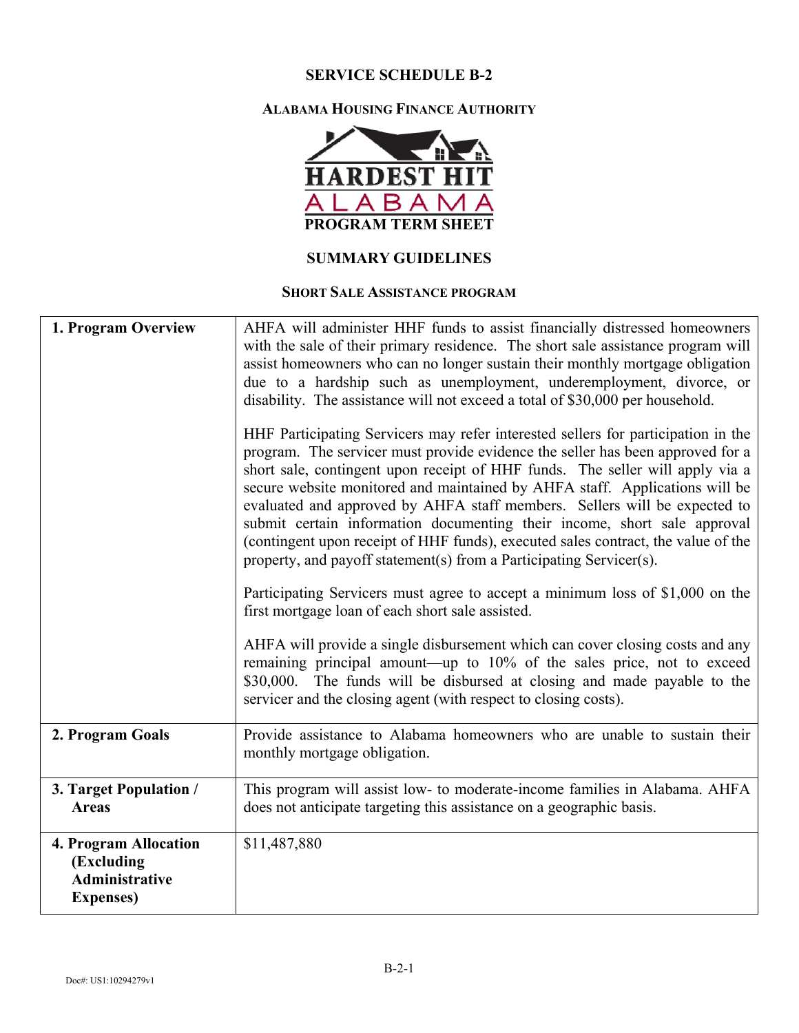#### **ALABAMA HOUSING FINANCE AUTHORITY**



## **SUMMARY GUIDELINES**

#### **SHORT SALE ASSISTANCE PROGRAM**

| 1. Program Overview                                                               | AHFA will administer HHF funds to assist financially distressed homeowners<br>with the sale of their primary residence. The short sale assistance program will<br>assist homeowners who can no longer sustain their monthly mortgage obligation<br>due to a hardship such as unemployment, underemployment, divorce, or                                                                                                                                                                                                                                                                                                                                                                                                                   |
|-----------------------------------------------------------------------------------|-------------------------------------------------------------------------------------------------------------------------------------------------------------------------------------------------------------------------------------------------------------------------------------------------------------------------------------------------------------------------------------------------------------------------------------------------------------------------------------------------------------------------------------------------------------------------------------------------------------------------------------------------------------------------------------------------------------------------------------------|
|                                                                                   | disability. The assistance will not exceed a total of \$30,000 per household.<br>HHF Participating Servicers may refer interested sellers for participation in the<br>program. The servicer must provide evidence the seller has been approved for a<br>short sale, contingent upon receipt of HHF funds. The seller will apply via a<br>secure website monitored and maintained by AHFA staff. Applications will be<br>evaluated and approved by AHFA staff members. Sellers will be expected to<br>submit certain information documenting their income, short sale approval<br>(contingent upon receipt of HHF funds), executed sales contract, the value of the<br>property, and payoff statement(s) from a Participating Servicer(s). |
|                                                                                   | Participating Servicers must agree to accept a minimum loss of \$1,000 on the<br>first mortgage loan of each short sale assisted.                                                                                                                                                                                                                                                                                                                                                                                                                                                                                                                                                                                                         |
|                                                                                   | AHFA will provide a single disbursement which can cover closing costs and any<br>remaining principal amount—up to 10% of the sales price, not to exceed<br>\$30,000. The funds will be disbursed at closing and made payable to the<br>servicer and the closing agent (with respect to closing costs).                                                                                                                                                                                                                                                                                                                                                                                                                                    |
| 2. Program Goals                                                                  | Provide assistance to Alabama homeowners who are unable to sustain their<br>monthly mortgage obligation.                                                                                                                                                                                                                                                                                                                                                                                                                                                                                                                                                                                                                                  |
| 3. Target Population /<br><b>Areas</b>                                            | This program will assist low- to moderate-income families in Alabama. AHFA<br>does not anticipate targeting this assistance on a geographic basis.                                                                                                                                                                                                                                                                                                                                                                                                                                                                                                                                                                                        |
| 4. Program Allocation<br>(Excluding<br><b>Administrative</b><br><b>Expenses</b> ) | \$11,487,880                                                                                                                                                                                                                                                                                                                                                                                                                                                                                                                                                                                                                                                                                                                              |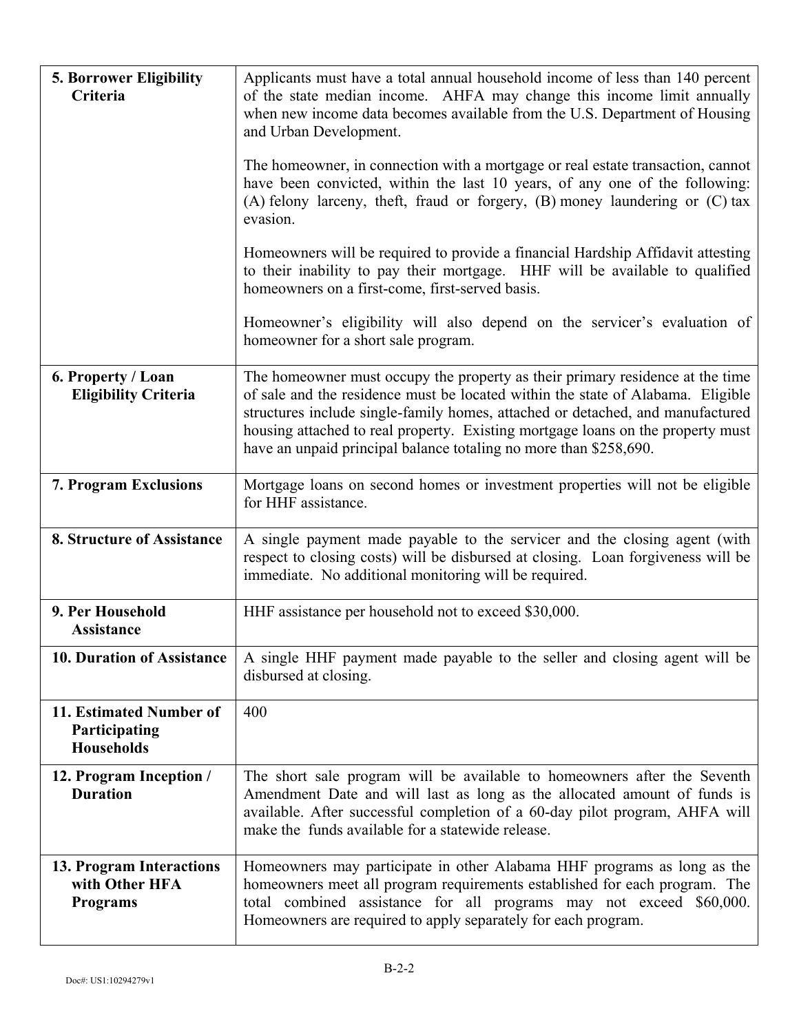| 5. Borrower Eligibility<br>Criteria                           | Applicants must have a total annual household income of less than 140 percent<br>of the state median income. AHFA may change this income limit annually<br>when new income data becomes available from the U.S. Department of Housing<br>and Urban Development.<br>The homeowner, in connection with a mortgage or real estate transaction, cannot<br>have been convicted, within the last 10 years, of any one of the following:<br>$(A)$ felony larceny, theft, fraud or forgery, $(B)$ money laundering or $(C)$ tax<br>evasion. |
|---------------------------------------------------------------|-------------------------------------------------------------------------------------------------------------------------------------------------------------------------------------------------------------------------------------------------------------------------------------------------------------------------------------------------------------------------------------------------------------------------------------------------------------------------------------------------------------------------------------|
|                                                               | Homeowners will be required to provide a financial Hardship Affidavit attesting<br>to their inability to pay their mortgage. HHF will be available to qualified<br>homeowners on a first-come, first-served basis.<br>Homeowner's eligibility will also depend on the servicer's evaluation of                                                                                                                                                                                                                                      |
|                                                               | homeowner for a short sale program.                                                                                                                                                                                                                                                                                                                                                                                                                                                                                                 |
| 6. Property / Loan<br><b>Eligibility Criteria</b>             | The homeowner must occupy the property as their primary residence at the time<br>of sale and the residence must be located within the state of Alabama. Eligible<br>structures include single-family homes, attached or detached, and manufactured<br>housing attached to real property. Existing mortgage loans on the property must<br>have an unpaid principal balance totaling no more than \$258,690.                                                                                                                          |
| 7. Program Exclusions                                         | Mortgage loans on second homes or investment properties will not be eligible<br>for HHF assistance.                                                                                                                                                                                                                                                                                                                                                                                                                                 |
| 8. Structure of Assistance                                    | A single payment made payable to the servicer and the closing agent (with<br>respect to closing costs) will be disbursed at closing. Loan forgiveness will be<br>immediate. No additional monitoring will be required.                                                                                                                                                                                                                                                                                                              |
| 9. Per Household<br><b>Assistance</b>                         | HHF assistance per household not to exceed \$30,000.                                                                                                                                                                                                                                                                                                                                                                                                                                                                                |
| 10. Duration of Assistance                                    | A single HHF payment made payable to the seller and closing agent will be<br>disbursed at closing.                                                                                                                                                                                                                                                                                                                                                                                                                                  |
| 11. Estimated Number of<br>Participating<br><b>Households</b> | 400                                                                                                                                                                                                                                                                                                                                                                                                                                                                                                                                 |
| 12. Program Inception /<br><b>Duration</b>                    | The short sale program will be available to homeowners after the Seventh<br>Amendment Date and will last as long as the allocated amount of funds is<br>available. After successful completion of a 60-day pilot program, AHFA will<br>make the funds available for a statewide release.                                                                                                                                                                                                                                            |
| 13. Program Interactions<br>with Other HFA<br><b>Programs</b> | Homeowners may participate in other Alabama HHF programs as long as the<br>homeowners meet all program requirements established for each program. The<br>total combined assistance for all programs may not exceed \$60,000.<br>Homeowners are required to apply separately for each program.                                                                                                                                                                                                                                       |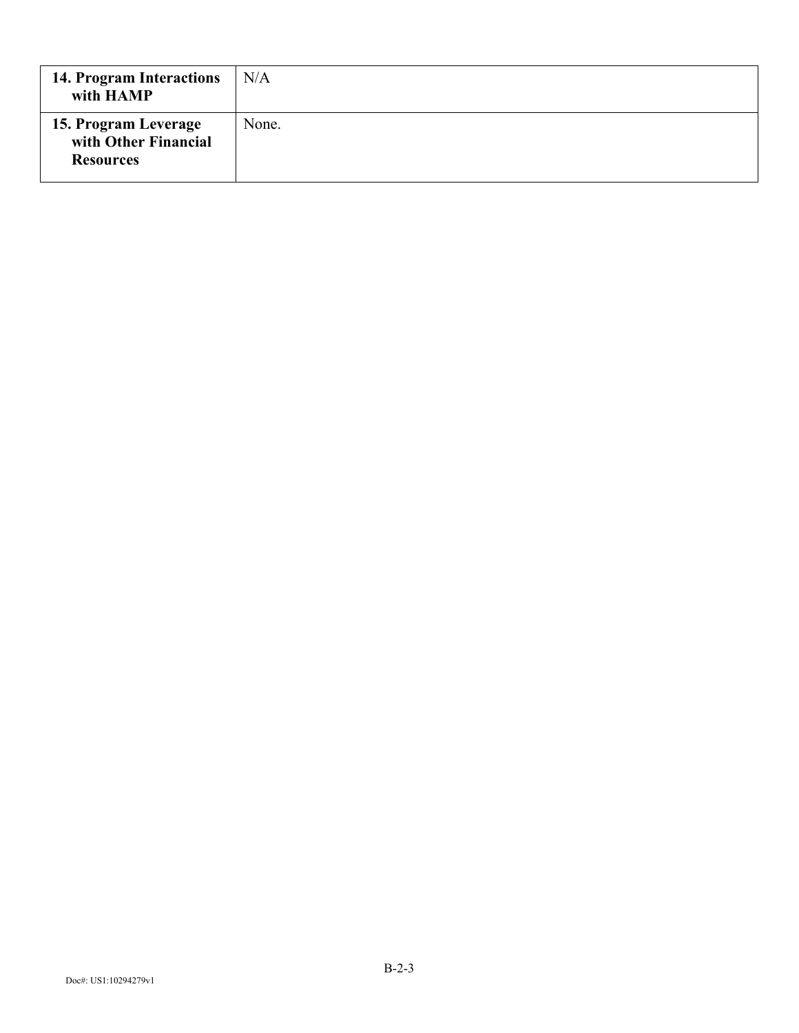| 14. Program Interactions<br>with HAMP                            | N/A   |
|------------------------------------------------------------------|-------|
| 15. Program Leverage<br>with Other Financial<br><b>Resources</b> | None. |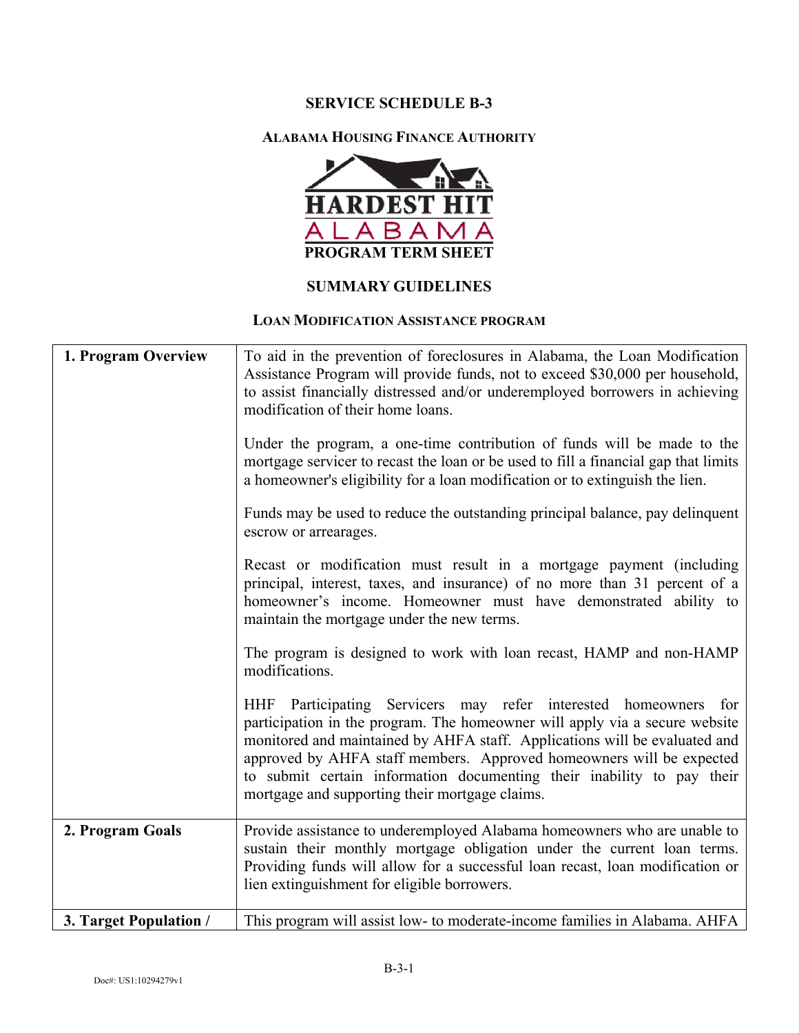#### **ALABAMA HOUSING FINANCE AUTHORITY**



#### **SUMMARY GUIDELINES**

#### **LOAN MODIFICATION ASSISTANCE PROGRAM**

| 1. Program Overview    | To aid in the prevention of foreclosures in Alabama, the Loan Modification<br>Assistance Program will provide funds, not to exceed \$30,000 per household,<br>to assist financially distressed and/or underemployed borrowers in achieving<br>modification of their home loans.                                                                                                                                                  |
|------------------------|----------------------------------------------------------------------------------------------------------------------------------------------------------------------------------------------------------------------------------------------------------------------------------------------------------------------------------------------------------------------------------------------------------------------------------|
|                        | Under the program, a one-time contribution of funds will be made to the<br>mortgage servicer to recast the loan or be used to fill a financial gap that limits<br>a homeowner's eligibility for a loan modification or to extinguish the lien.                                                                                                                                                                                   |
|                        | Funds may be used to reduce the outstanding principal balance, pay delinquent<br>escrow or arrearages.                                                                                                                                                                                                                                                                                                                           |
|                        | Recast or modification must result in a mortgage payment (including<br>principal, interest, taxes, and insurance) of no more than 31 percent of a<br>homeowner's income. Homeowner must have demonstrated ability to<br>maintain the mortgage under the new terms.                                                                                                                                                               |
|                        | The program is designed to work with loan recast, HAMP and non-HAMP<br>modifications.                                                                                                                                                                                                                                                                                                                                            |
|                        | HHF Participating Servicers may refer interested homeowners for<br>participation in the program. The homeowner will apply via a secure website<br>monitored and maintained by AHFA staff. Applications will be evaluated and<br>approved by AHFA staff members. Approved homeowners will be expected<br>to submit certain information documenting their inability to pay their<br>mortgage and supporting their mortgage claims. |
| 2. Program Goals       | Provide assistance to underemployed Alabama homeowners who are unable to<br>sustain their monthly mortgage obligation under the current loan terms.<br>Providing funds will allow for a successful loan recast, loan modification or<br>lien extinguishment for eligible borrowers.                                                                                                                                              |
| 3. Target Population / | This program will assist low- to moderate-income families in Alabama. AHFA                                                                                                                                                                                                                                                                                                                                                       |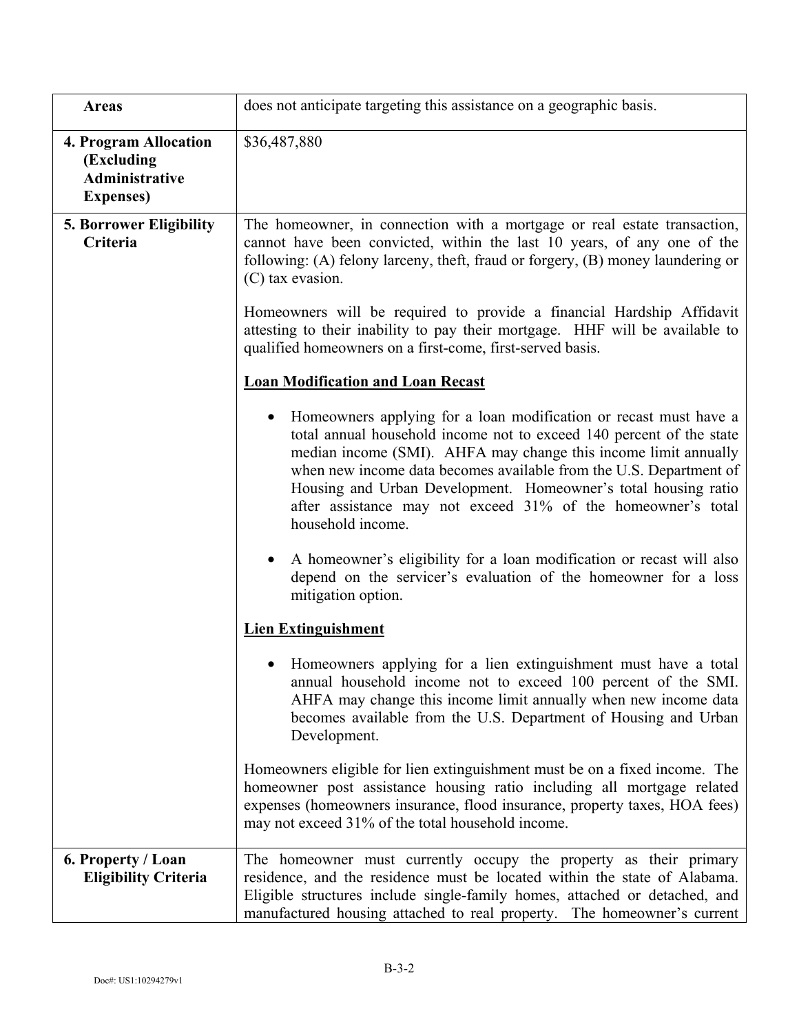| <b>Areas</b>                                                                      | does not anticipate targeting this assistance on a geographic basis.                                                                                                                                                                                                                                                                                                                                                                                   |
|-----------------------------------------------------------------------------------|--------------------------------------------------------------------------------------------------------------------------------------------------------------------------------------------------------------------------------------------------------------------------------------------------------------------------------------------------------------------------------------------------------------------------------------------------------|
| 4. Program Allocation<br>(Excluding<br><b>Administrative</b><br><b>Expenses</b> ) | \$36,487,880                                                                                                                                                                                                                                                                                                                                                                                                                                           |
| <b>5. Borrower Eligibility</b><br>Criteria                                        | The homeowner, in connection with a mortgage or real estate transaction,<br>cannot have been convicted, within the last 10 years, of any one of the<br>following: (A) felony larceny, theft, fraud or forgery, (B) money laundering or<br>$(C)$ tax evasion.                                                                                                                                                                                           |
|                                                                                   | Homeowners will be required to provide a financial Hardship Affidavit<br>attesting to their inability to pay their mortgage. HHF will be available to<br>qualified homeowners on a first-come, first-served basis.                                                                                                                                                                                                                                     |
|                                                                                   | <b>Loan Modification and Loan Recast</b>                                                                                                                                                                                                                                                                                                                                                                                                               |
|                                                                                   | Homeowners applying for a loan modification or recast must have a<br>$\bullet$<br>total annual household income not to exceed 140 percent of the state<br>median income (SMI). AHFA may change this income limit annually<br>when new income data becomes available from the U.S. Department of<br>Housing and Urban Development. Homeowner's total housing ratio<br>after assistance may not exceed 31% of the homeowner's total<br>household income. |
|                                                                                   | A homeowner's eligibility for a loan modification or recast will also<br>$\bullet$<br>depend on the servicer's evaluation of the homeowner for a loss<br>mitigation option.                                                                                                                                                                                                                                                                            |
|                                                                                   | <b>Lien Extinguishment</b>                                                                                                                                                                                                                                                                                                                                                                                                                             |
|                                                                                   | Homeowners applying for a lien extinguishment must have a total<br>annual household income not to exceed 100 percent of the SMI.<br>AHFA may change this income limit annually when new income data<br>becomes available from the U.S. Department of Housing and Urban<br>Development.                                                                                                                                                                 |
|                                                                                   | Homeowners eligible for lien extinguishment must be on a fixed income. The<br>homeowner post assistance housing ratio including all mortgage related<br>expenses (homeowners insurance, flood insurance, property taxes, HOA fees)<br>may not exceed 31% of the total household income.                                                                                                                                                                |
| 6. Property / Loan<br><b>Eligibility Criteria</b>                                 | The homeowner must currently occupy the property as their primary<br>residence, and the residence must be located within the state of Alabama.<br>Eligible structures include single-family homes, attached or detached, and<br>manufactured housing attached to real property. The homeowner's current                                                                                                                                                |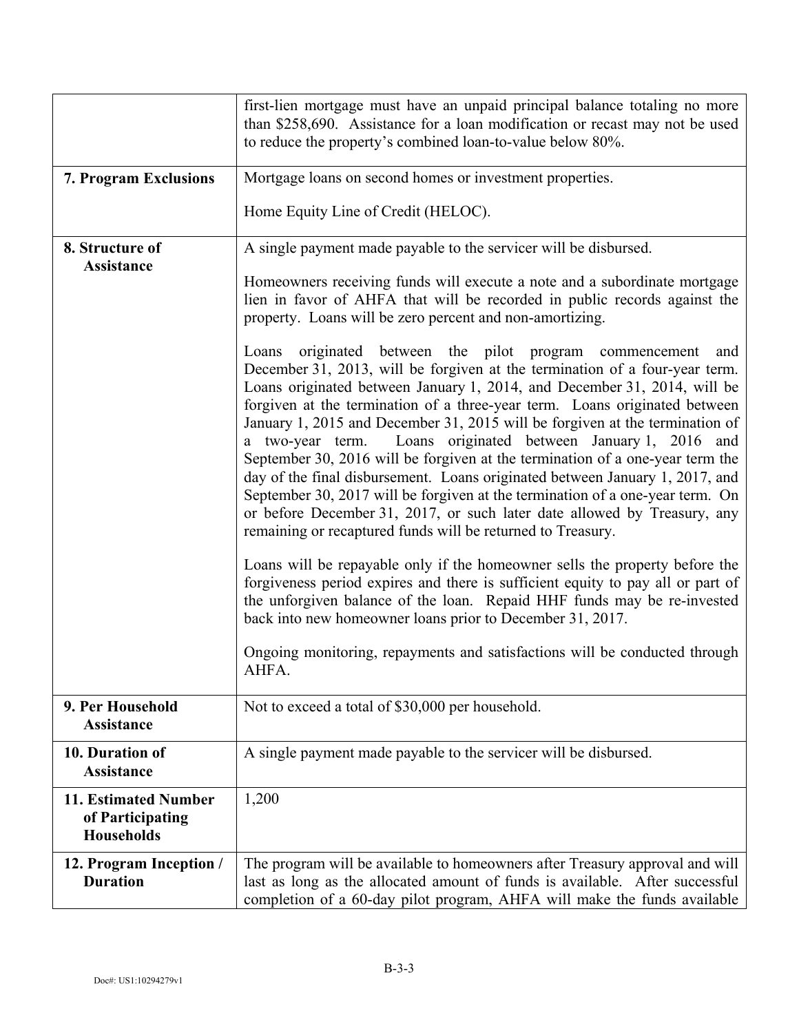|                                                                      | first-lien mortgage must have an unpaid principal balance totaling no more<br>than \$258,690. Assistance for a loan modification or recast may not be used<br>to reduce the property's combined loan-to-value below 80%.                                                                                                                                                                                                                                                                                                                                                                                                                                                                                                                                                                                                                                                                                                                                                                                                                                                                                                                                                                                                                                  |  |  |
|----------------------------------------------------------------------|-----------------------------------------------------------------------------------------------------------------------------------------------------------------------------------------------------------------------------------------------------------------------------------------------------------------------------------------------------------------------------------------------------------------------------------------------------------------------------------------------------------------------------------------------------------------------------------------------------------------------------------------------------------------------------------------------------------------------------------------------------------------------------------------------------------------------------------------------------------------------------------------------------------------------------------------------------------------------------------------------------------------------------------------------------------------------------------------------------------------------------------------------------------------------------------------------------------------------------------------------------------|--|--|
| <b>7. Program Exclusions</b>                                         | Mortgage loans on second homes or investment properties.                                                                                                                                                                                                                                                                                                                                                                                                                                                                                                                                                                                                                                                                                                                                                                                                                                                                                                                                                                                                                                                                                                                                                                                                  |  |  |
|                                                                      | Home Equity Line of Credit (HELOC).                                                                                                                                                                                                                                                                                                                                                                                                                                                                                                                                                                                                                                                                                                                                                                                                                                                                                                                                                                                                                                                                                                                                                                                                                       |  |  |
| 8. Structure of                                                      | A single payment made payable to the servicer will be disbursed.                                                                                                                                                                                                                                                                                                                                                                                                                                                                                                                                                                                                                                                                                                                                                                                                                                                                                                                                                                                                                                                                                                                                                                                          |  |  |
| <b>Assistance</b>                                                    | Homeowners receiving funds will execute a note and a subordinate mortgage<br>lien in favor of AHFA that will be recorded in public records against the<br>property. Loans will be zero percent and non-amortizing.                                                                                                                                                                                                                                                                                                                                                                                                                                                                                                                                                                                                                                                                                                                                                                                                                                                                                                                                                                                                                                        |  |  |
|                                                                      | originated between the pilot program commencement<br>Loans<br>and<br>December 31, 2013, will be forgiven at the termination of a four-year term.<br>Loans originated between January 1, 2014, and December 31, 2014, will be<br>forgiven at the termination of a three-year term. Loans originated between<br>January 1, 2015 and December 31, 2015 will be forgiven at the termination of<br>a two-year term. Loans originated between January 1, 2016 and<br>September 30, 2016 will be forgiven at the termination of a one-year term the<br>day of the final disbursement. Loans originated between January 1, 2017, and<br>September 30, 2017 will be forgiven at the termination of a one-year term. On<br>or before December 31, 2017, or such later date allowed by Treasury, any<br>remaining or recaptured funds will be returned to Treasury.<br>Loans will be repayable only if the homeowner sells the property before the<br>forgiveness period expires and there is sufficient equity to pay all or part of<br>the unforgiven balance of the loan. Repaid HHF funds may be re-invested<br>back into new homeowner loans prior to December 31, 2017.<br>Ongoing monitoring, repayments and satisfactions will be conducted through<br>AHFA. |  |  |
| 9. Per Household                                                     | Not to exceed a total of \$30,000 per household.                                                                                                                                                                                                                                                                                                                                                                                                                                                                                                                                                                                                                                                                                                                                                                                                                                                                                                                                                                                                                                                                                                                                                                                                          |  |  |
| <b>Assistance</b>                                                    |                                                                                                                                                                                                                                                                                                                                                                                                                                                                                                                                                                                                                                                                                                                                                                                                                                                                                                                                                                                                                                                                                                                                                                                                                                                           |  |  |
| 10. Duration of<br><b>Assistance</b>                                 | A single payment made payable to the servicer will be disbursed.                                                                                                                                                                                                                                                                                                                                                                                                                                                                                                                                                                                                                                                                                                                                                                                                                                                                                                                                                                                                                                                                                                                                                                                          |  |  |
| <b>11. Estimated Number</b><br>of Participating<br><b>Households</b> | 1,200                                                                                                                                                                                                                                                                                                                                                                                                                                                                                                                                                                                                                                                                                                                                                                                                                                                                                                                                                                                                                                                                                                                                                                                                                                                     |  |  |
| 12. Program Inception /<br><b>Duration</b>                           | The program will be available to homeowners after Treasury approval and will<br>last as long as the allocated amount of funds is available. After successful<br>completion of a 60-day pilot program, AHFA will make the funds available                                                                                                                                                                                                                                                                                                                                                                                                                                                                                                                                                                                                                                                                                                                                                                                                                                                                                                                                                                                                                  |  |  |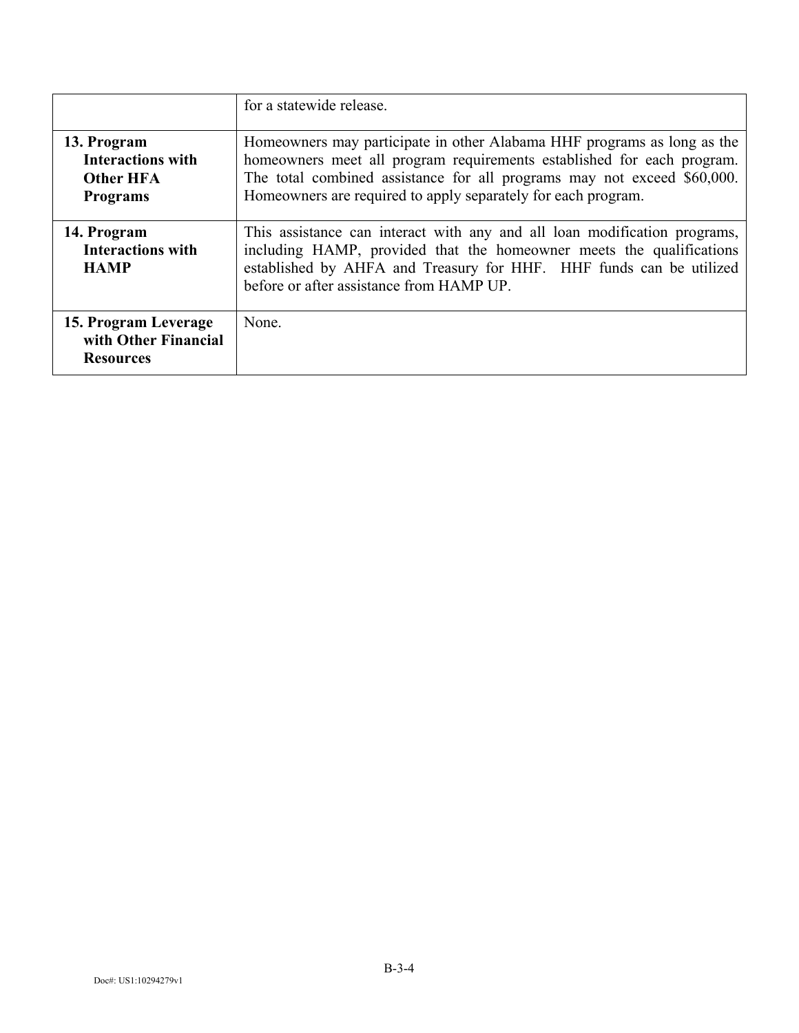|                                                                                | for a statewide release.                                                                                                                                                                                                                                                                      |
|--------------------------------------------------------------------------------|-----------------------------------------------------------------------------------------------------------------------------------------------------------------------------------------------------------------------------------------------------------------------------------------------|
| 13. Program<br><b>Interactions with</b><br><b>Other HFA</b><br><b>Programs</b> | Homeowners may participate in other Alabama HHF programs as long as the<br>homeowners meet all program requirements established for each program.<br>The total combined assistance for all programs may not exceed \$60,000.<br>Homeowners are required to apply separately for each program. |
| 14. Program<br><b>Interactions with</b><br><b>HAMP</b>                         | This assistance can interact with any and all loan modification programs,<br>including HAMP, provided that the homeowner meets the qualifications<br>established by AHFA and Treasury for HHF. HHF funds can be utilized<br>before or after assistance from HAMP UP.                          |
| 15. Program Leverage<br>with Other Financial<br><b>Resources</b>               | None.                                                                                                                                                                                                                                                                                         |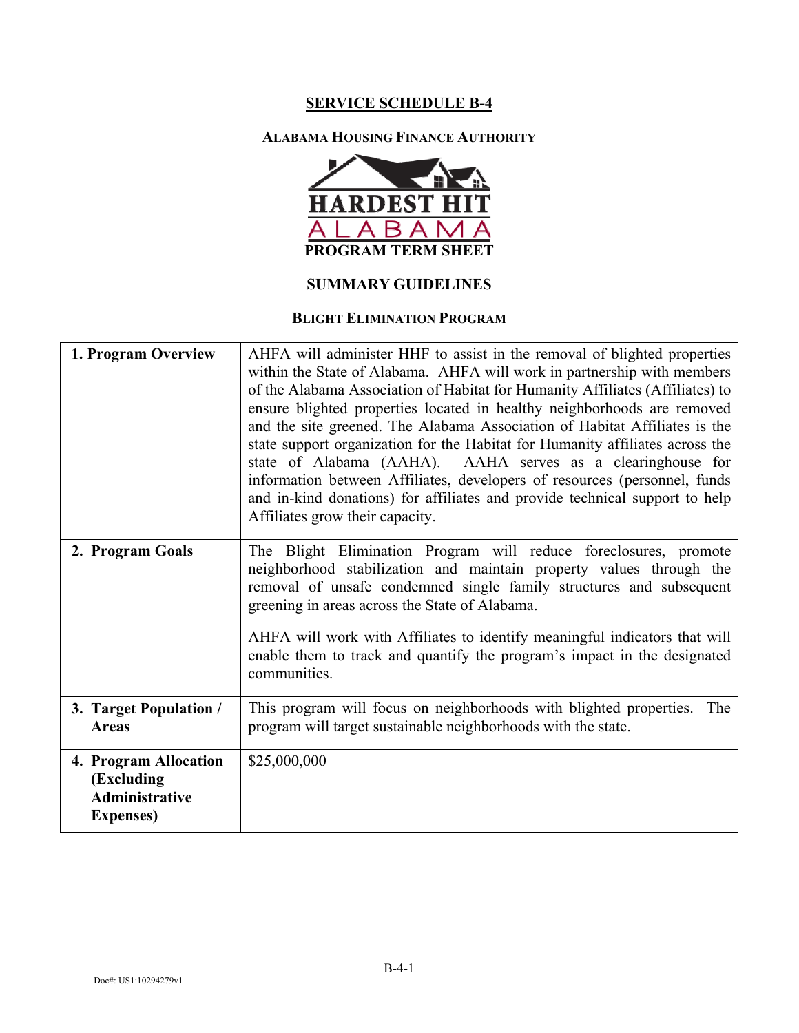#### **ALABAMA HOUSING FINANCE AUTHORITY**



## **SUMMARY GUIDELINES**

## **BLIGHT ELIMINATION PROGRAM**

| 1. Program Overview                                                        | AHFA will administer HHF to assist in the removal of blighted properties<br>within the State of Alabama. AHFA will work in partnership with members<br>of the Alabama Association of Habitat for Humanity Affiliates (Affiliates) to<br>ensure blighted properties located in healthy neighborhoods are removed<br>and the site greened. The Alabama Association of Habitat Affiliates is the<br>state support organization for the Habitat for Humanity affiliates across the<br>state of Alabama (AAHA). AAHA serves as a clearinghouse for<br>information between Affiliates, developers of resources (personnel, funds<br>and in-kind donations) for affiliates and provide technical support to help<br>Affiliates grow their capacity. |
|----------------------------------------------------------------------------|----------------------------------------------------------------------------------------------------------------------------------------------------------------------------------------------------------------------------------------------------------------------------------------------------------------------------------------------------------------------------------------------------------------------------------------------------------------------------------------------------------------------------------------------------------------------------------------------------------------------------------------------------------------------------------------------------------------------------------------------|
| 2. Program Goals                                                           | The Blight Elimination Program will reduce foreclosures, promote<br>neighborhood stabilization and maintain property values through the<br>removal of unsafe condemned single family structures and subsequent<br>greening in areas across the State of Alabama.<br>AHFA will work with Affiliates to identify meaningful indicators that will<br>enable them to track and quantify the program's impact in the designated<br>communities.                                                                                                                                                                                                                                                                                                   |
| 3. Target Population /<br><b>Areas</b>                                     | This program will focus on neighborhoods with blighted properties.<br>The<br>program will target sustainable neighborhoods with the state.                                                                                                                                                                                                                                                                                                                                                                                                                                                                                                                                                                                                   |
| 4. Program Allocation<br>(Excluding<br>Administrative<br><b>Expenses</b> ) | \$25,000,000                                                                                                                                                                                                                                                                                                                                                                                                                                                                                                                                                                                                                                                                                                                                 |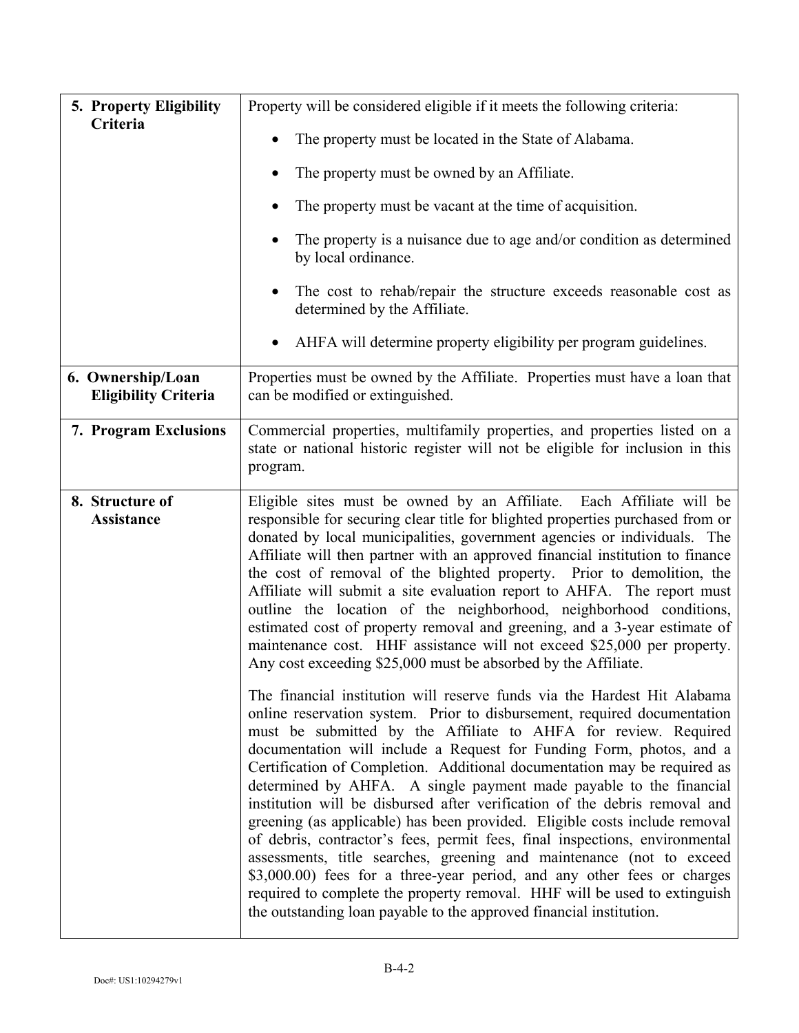| 5. Property Eligibility                          | Property will be considered eligible if it meets the following criteria:                                                                                                                                                                                                                                                                                                                                                                                                                                                                                                                                                                                                                                                                                                                                                                                                                                                                                                                            |  |  |  |  |
|--------------------------------------------------|-----------------------------------------------------------------------------------------------------------------------------------------------------------------------------------------------------------------------------------------------------------------------------------------------------------------------------------------------------------------------------------------------------------------------------------------------------------------------------------------------------------------------------------------------------------------------------------------------------------------------------------------------------------------------------------------------------------------------------------------------------------------------------------------------------------------------------------------------------------------------------------------------------------------------------------------------------------------------------------------------------|--|--|--|--|
| Criteria                                         | The property must be located in the State of Alabama.                                                                                                                                                                                                                                                                                                                                                                                                                                                                                                                                                                                                                                                                                                                                                                                                                                                                                                                                               |  |  |  |  |
|                                                  | The property must be owned by an Affiliate.                                                                                                                                                                                                                                                                                                                                                                                                                                                                                                                                                                                                                                                                                                                                                                                                                                                                                                                                                         |  |  |  |  |
|                                                  | The property must be vacant at the time of acquisition.                                                                                                                                                                                                                                                                                                                                                                                                                                                                                                                                                                                                                                                                                                                                                                                                                                                                                                                                             |  |  |  |  |
|                                                  | The property is a nuisance due to age and/or condition as determined<br>by local ordinance.                                                                                                                                                                                                                                                                                                                                                                                                                                                                                                                                                                                                                                                                                                                                                                                                                                                                                                         |  |  |  |  |
|                                                  | The cost to rehab/repair the structure exceeds reasonable cost as<br>$\bullet$<br>determined by the Affiliate.                                                                                                                                                                                                                                                                                                                                                                                                                                                                                                                                                                                                                                                                                                                                                                                                                                                                                      |  |  |  |  |
|                                                  | AHFA will determine property eligibility per program guidelines.                                                                                                                                                                                                                                                                                                                                                                                                                                                                                                                                                                                                                                                                                                                                                                                                                                                                                                                                    |  |  |  |  |
| 6. Ownership/Loan<br><b>Eligibility Criteria</b> | Properties must be owned by the Affiliate. Properties must have a loan that<br>can be modified or extinguished.                                                                                                                                                                                                                                                                                                                                                                                                                                                                                                                                                                                                                                                                                                                                                                                                                                                                                     |  |  |  |  |
| 7. Program Exclusions                            | Commercial properties, multifamily properties, and properties listed on a<br>state or national historic register will not be eligible for inclusion in this<br>program.                                                                                                                                                                                                                                                                                                                                                                                                                                                                                                                                                                                                                                                                                                                                                                                                                             |  |  |  |  |
| 8. Structure of<br>Assistance                    | Eligible sites must be owned by an Affiliate. Each Affiliate will be<br>responsible for securing clear title for blighted properties purchased from or<br>donated by local municipalities, government agencies or individuals. The<br>Affiliate will then partner with an approved financial institution to finance<br>the cost of removal of the blighted property. Prior to demolition, the<br>Affiliate will submit a site evaluation report to AHFA. The report must<br>outline the location of the neighborhood, neighborhood conditions,<br>estimated cost of property removal and greening, and a 3-year estimate of<br>maintenance cost. HHF assistance will not exceed \$25,000 per property.<br>Any cost exceeding \$25,000 must be absorbed by the Affiliate.                                                                                                                                                                                                                            |  |  |  |  |
|                                                  | The financial institution will reserve funds via the Hardest Hit Alabama<br>online reservation system. Prior to disbursement, required documentation<br>must be submitted by the Affiliate to AHFA for review. Required<br>documentation will include a Request for Funding Form, photos, and a<br>Certification of Completion. Additional documentation may be required as<br>determined by AHFA. A single payment made payable to the financial<br>institution will be disbursed after verification of the debris removal and<br>greening (as applicable) has been provided. Eligible costs include removal<br>of debris, contractor's fees, permit fees, final inspections, environmental<br>assessments, title searches, greening and maintenance (not to exceed<br>\$3,000.00) fees for a three-year period, and any other fees or charges<br>required to complete the property removal. HHF will be used to extinguish<br>the outstanding loan payable to the approved financial institution. |  |  |  |  |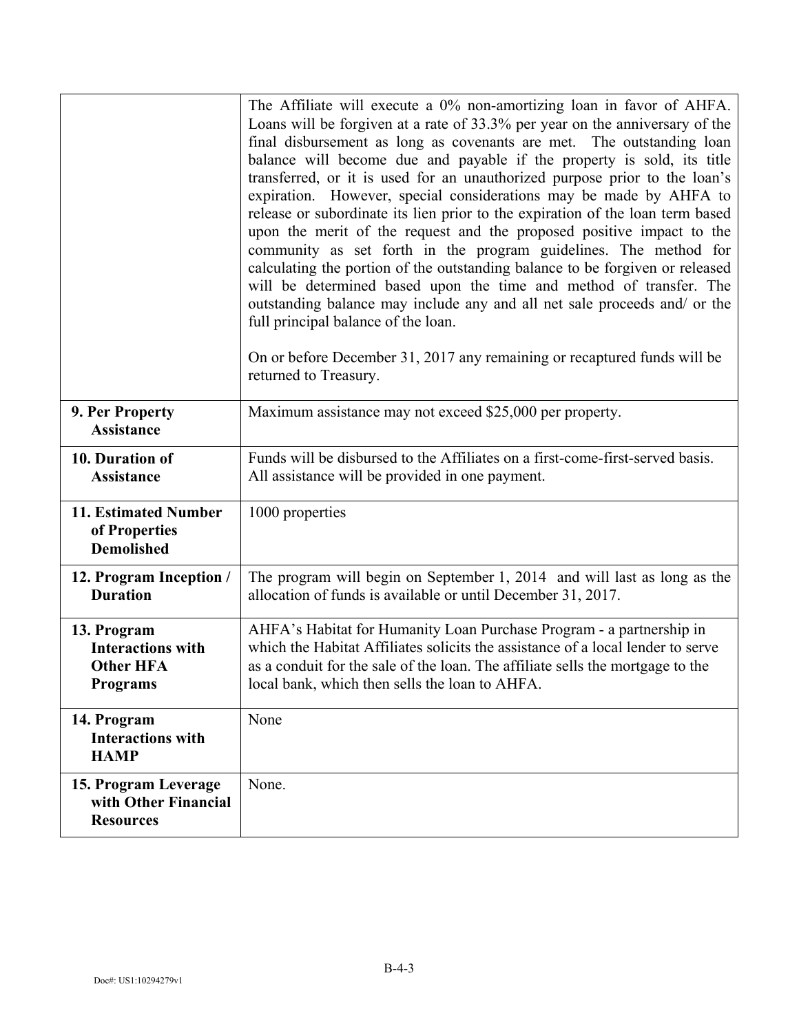|                                                                                | The Affiliate will execute a 0% non-amortizing loan in favor of AHFA.<br>Loans will be forgiven at a rate of 33.3% per year on the anniversary of the<br>final disbursement as long as covenants are met. The outstanding loan<br>balance will become due and payable if the property is sold, its title<br>transferred, or it is used for an unauthorized purpose prior to the loan's<br>expiration. However, special considerations may be made by AHFA to<br>release or subordinate its lien prior to the expiration of the loan term based<br>upon the merit of the request and the proposed positive impact to the<br>community as set forth in the program guidelines. The method for<br>calculating the portion of the outstanding balance to be forgiven or released<br>will be determined based upon the time and method of transfer. The<br>outstanding balance may include any and all net sale proceeds and/ or the<br>full principal balance of the loan.<br>On or before December 31, 2017 any remaining or recaptured funds will be<br>returned to Treasury. |  |
|--------------------------------------------------------------------------------|-----------------------------------------------------------------------------------------------------------------------------------------------------------------------------------------------------------------------------------------------------------------------------------------------------------------------------------------------------------------------------------------------------------------------------------------------------------------------------------------------------------------------------------------------------------------------------------------------------------------------------------------------------------------------------------------------------------------------------------------------------------------------------------------------------------------------------------------------------------------------------------------------------------------------------------------------------------------------------------------------------------------------------------------------------------------------------|--|
| 9. Per Property<br><b>Assistance</b>                                           | Maximum assistance may not exceed \$25,000 per property.                                                                                                                                                                                                                                                                                                                                                                                                                                                                                                                                                                                                                                                                                                                                                                                                                                                                                                                                                                                                                    |  |
| 10. Duration of<br><b>Assistance</b>                                           | Funds will be disbursed to the Affiliates on a first-come-first-served basis.<br>All assistance will be provided in one payment.                                                                                                                                                                                                                                                                                                                                                                                                                                                                                                                                                                                                                                                                                                                                                                                                                                                                                                                                            |  |
| 11. Estimated Number<br>of Properties<br><b>Demolished</b>                     | 1000 properties                                                                                                                                                                                                                                                                                                                                                                                                                                                                                                                                                                                                                                                                                                                                                                                                                                                                                                                                                                                                                                                             |  |
| 12. Program Inception /<br><b>Duration</b>                                     | The program will begin on September 1, 2014 and will last as long as the<br>allocation of funds is available or until December 31, 2017.                                                                                                                                                                                                                                                                                                                                                                                                                                                                                                                                                                                                                                                                                                                                                                                                                                                                                                                                    |  |
| 13. Program<br><b>Interactions with</b><br><b>Other HFA</b><br><b>Programs</b> | AHFA's Habitat for Humanity Loan Purchase Program - a partnership in<br>which the Habitat Affiliates solicits the assistance of a local lender to serve<br>as a conduit for the sale of the loan. The affiliate sells the mortgage to the<br>local bank, which then sells the loan to AHFA.                                                                                                                                                                                                                                                                                                                                                                                                                                                                                                                                                                                                                                                                                                                                                                                 |  |
| 14. Program<br><b>Interactions with</b><br><b>HAMP</b>                         | None                                                                                                                                                                                                                                                                                                                                                                                                                                                                                                                                                                                                                                                                                                                                                                                                                                                                                                                                                                                                                                                                        |  |
| 15. Program Leverage<br>with Other Financial<br><b>Resources</b>               | None.                                                                                                                                                                                                                                                                                                                                                                                                                                                                                                                                                                                                                                                                                                                                                                                                                                                                                                                                                                                                                                                                       |  |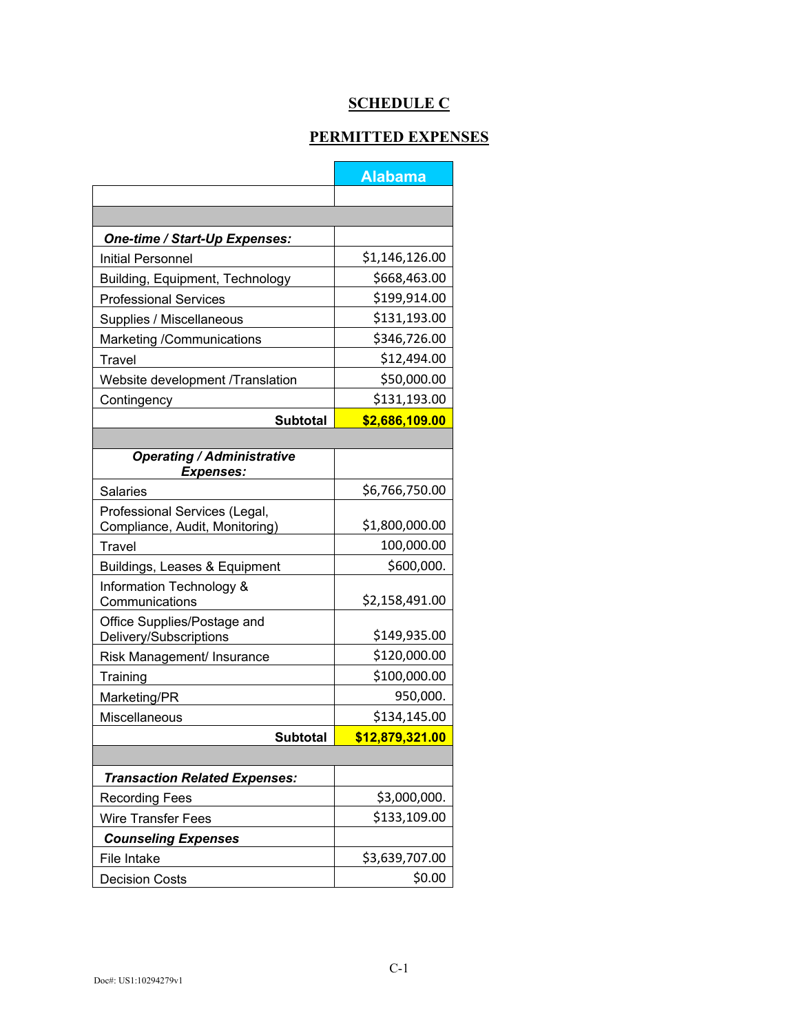# **SCHEDULE C**

## **PERMITTED EXPENSES**

|                                                                 | <b>Alabama</b>  |  |  |
|-----------------------------------------------------------------|-----------------|--|--|
|                                                                 |                 |  |  |
|                                                                 |                 |  |  |
| One-time / Start-Up Expenses:                                   |                 |  |  |
| <b>Initial Personnel</b>                                        | \$1,146,126.00  |  |  |
| Building, Equipment, Technology                                 | \$668,463.00    |  |  |
| <b>Professional Services</b>                                    | \$199,914.00    |  |  |
| Supplies / Miscellaneous                                        | \$131,193.00    |  |  |
| Marketing /Communications                                       | \$346,726.00    |  |  |
| Travel                                                          | \$12,494.00     |  |  |
| Website development /Translation                                | \$50,000.00     |  |  |
| Contingency                                                     | \$131,193.00    |  |  |
| <b>Subtotal</b>                                                 | \$2,686,109.00  |  |  |
|                                                                 |                 |  |  |
| <b>Operating / Administrative</b><br><b>Expenses:</b>           |                 |  |  |
| <b>Salaries</b>                                                 | \$6,766,750.00  |  |  |
| Professional Services (Legal,<br>Compliance, Audit, Monitoring) | \$1,800,000.00  |  |  |
| Travel                                                          | 100,000.00      |  |  |
| Buildings, Leases & Equipment                                   | \$600,000.      |  |  |
| Information Technology &<br>Communications                      | \$2,158,491.00  |  |  |
| Office Supplies/Postage and<br>Delivery/Subscriptions           | \$149,935.00    |  |  |
| Risk Management/ Insurance                                      | \$120,000.00    |  |  |
| Training                                                        | \$100,000.00    |  |  |
| Marketing/PR                                                    | 950,000.        |  |  |
| Miscellaneous                                                   | \$134,145.00    |  |  |
| <b>Subtotal</b>                                                 | \$12,879,321.00 |  |  |
|                                                                 |                 |  |  |
| <b>Transaction Related Expenses:</b>                            |                 |  |  |
| <b>Recording Fees</b>                                           | \$3,000,000.    |  |  |
| <b>Wire Transfer Fees</b>                                       | \$133,109.00    |  |  |
| <b>Counseling Expenses</b>                                      |                 |  |  |
| File Intake                                                     | \$3,639,707.00  |  |  |
| <b>Decision Costs</b>                                           | \$0.00          |  |  |